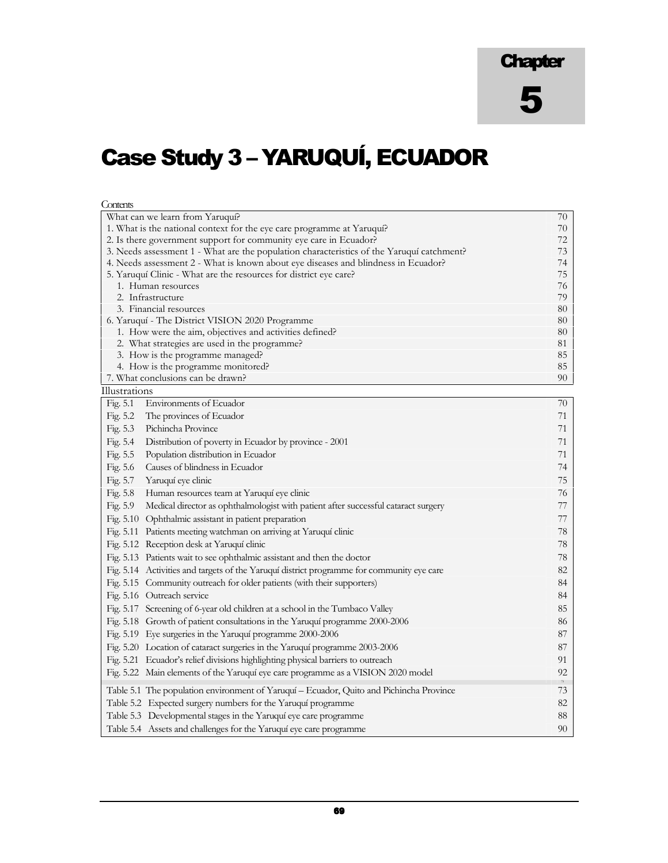**Chapter** 

# Case Study 3 – YARUQUÍ, ECUADOR

**Contents** 

| What can we learn from Yaruquí?                                                                | 70       |
|------------------------------------------------------------------------------------------------|----------|
| 1. What is the national context for the eye care programme at Yaruqui?                         | 70       |
| 2. Is there government support for community eye care in Ecuador?                              | 72       |
| 3. Needs assessment 1 - What are the population characteristics of the Yaruquí catchment?      | 73       |
| 4. Needs assessment 2 - What is known about eye diseases and blindness in Ecuador?             | 74       |
| 5. Yaruquí Clinic - What are the resources for district eye care?                              | 75       |
| 1. Human resources                                                                             | 76       |
| 2. Infrastructure                                                                              | 79       |
| 3. Financial resources<br>6. Yaruquí - The District VISION 2020 Programme                      | 80<br>80 |
| 1. How were the aim, objectives and activities defined?                                        | 80       |
| 2. What strategies are used in the programme?                                                  | 81       |
| 3. How is the programme managed?                                                               | 85       |
| 4. How is the programme monitored?                                                             | 85       |
| 7. What conclusions can be drawn?                                                              | 90       |
| Illustrations                                                                                  |          |
| Fig. 5.1<br>Environments of Ecuador                                                            | 70       |
| Fig. 5.2<br>The provinces of Ecuador                                                           | 71       |
| Fig. 5.3<br>Pichincha Province                                                                 | 71       |
| Fig. 5.4<br>Distribution of poverty in Ecuador by province - 2001                              | 71       |
| Fig. 5.5<br>Population distribution in Ecuador                                                 | 71       |
| Fig. 5.6<br>Causes of blindness in Ecuador                                                     | 74       |
| Fig. 5.7<br>Yaruquí eye clinic                                                                 | 75       |
| Fig. 5.8<br>Human resources team at Yaruquí eye clinic                                         | 76       |
| Fig. 5.9<br>Medical director as ophthalmologist with patient after successful cataract surgery | 77       |
| Fig. 5.10 Ophthalmic assistant in patient preparation                                          | 77       |
| Fig. 5.11 Patients meeting watchman on arriving at Yaruquí clinic                              | 78       |
| Fig. 5.12 Reception desk at Yaruquí clinic                                                     | 78       |
| Fig. 5.13 Patients wait to see ophthalmic assistant and then the doctor                        | 78       |
| Fig. 5.14 Activities and targets of the Yaruquí district programme for community eye care      | 82       |
| Fig. 5.15 Community outreach for older patients (with their supporters)                        | 84       |
| Fig. 5.16 Outreach service                                                                     | 84       |
| Fig. 5.17 Screening of 6-year old children at a school in the Tumbaco Valley                   | 85       |
| Fig. 5.18 Growth of patient consultations in the Yaruquí programme 2000-2006                   | 86       |
| Fig. 5.19 Eye surgeries in the Yaruquí programme 2000-2006                                     | 87       |
|                                                                                                | 87       |
| Fig. 5.20 Location of cataract surgeries in the Yaruquí programme 2003-2006                    |          |
| Fig. 5.21 Ecuador's relief divisions highlighting physical barriers to outreach                | 91<br>92 |
| Fig. 5.22 Main elements of the Yaruquí eye care programme as a VISION 2020 model               |          |
| Table 5.1 The population environment of Yaruquí - Ecuador, Quito and Pichincha Province        | 73       |
| Table 5.2 Expected surgery numbers for the Yaruquí programme                                   | 82       |
| Table 5.3 Developmental stages in the Yaruquí eye care programme                               | 88       |
| Table 5.4 Assets and challenges for the Yaruquí eye care programme                             | 90       |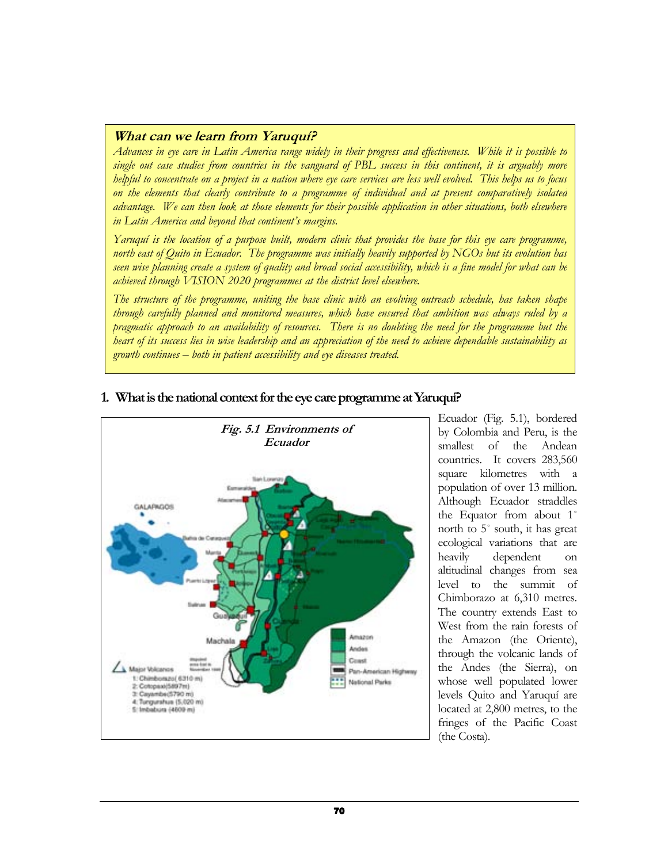## What can we learn from Yaruquí?

Advances in eye care in Latin America range widely in their progress and effectiveness. While it is possible to single out case studies from countries in the vanguard of PBL success in this continent, it is arguably more helpful to concentrate on a project in a nation where eye care services are less well evolved. This helps us to focus on the elements that clearly contribute to a programme of individual and at present comparatively isolated advantage. We can then look at those elements for their possible application in other situations, both elsewhere in Latin America and beyond that continent's margins.

Yaruquí is the location of a purpose built, modern clinic that provides the base for this eye care programme, north east of Quito in Ecuador. The programme was initially heavily supported by NGOs but its evolution has seen wise planning create a system of quality and broad social accessibility, which is a fine model for what can be achieved through VISION 2020 programmes at the district level elsewhere.

The structure of the programme, uniting the base clinic with an evolving outreach schedule, has taken shape through carefully planned and monitored measures, which have ensured that ambition was always ruled by a pragmatic approach to an availability of resources. There is no doubting the need for the programme but the heart of its success lies in wise leadership and an appreciation of the need to achieve dependable sustainability as growth continues – both in patient accessibility and eye diseases treated.



# 1. What is the national context for the eye care programme at Yaruquí?

Ecuador (Fig. 5.1), bordered by Colombia and Peru, is the smallest of the Andean countries. It covers 283,560 square kilometres with a population of over 13 million. Although Ecuador straddles the Equator from about 1˚ north to 5˚ south, it has great ecological variations that are heavily dependent on altitudinal changes from sea level to the summit of Chimborazo at 6,310 metres. The country extends East to West from the rain forests of the Amazon (the Oriente), through the volcanic lands of the Andes (the Sierra), on whose well populated lower levels Quito and Yaruquí are located at 2,800 metres, to the fringes of the Pacific Coast (the Costa).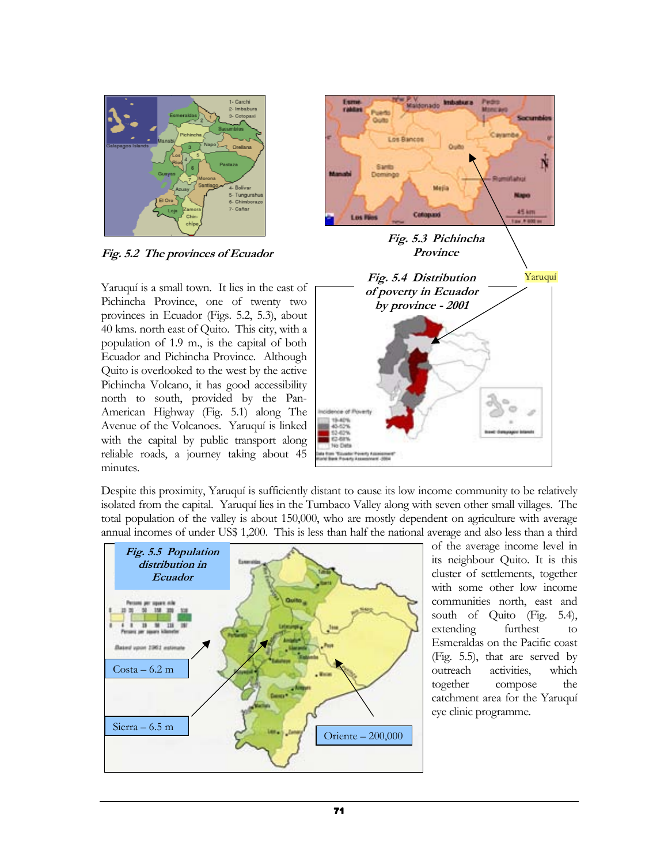

Fig. 5.2 The provinces of Ecuador

Yaruquí is a small town. It lies in the east of Pichincha Province, one of twenty two provinces in Ecuador (Figs. 5.2, 5.3), about 40 kms. north east of Quito. This city, with a population of 1.9 m., is the capital of both Ecuador and Pichincha Province. Although Quito is overlooked to the west by the active Pichincha Volcano, it has good accessibility north to south, provided by the Pan-American Highway (Fig. 5.1) along The Avenue of the Volcanoes. Yaruquí is linked with the capital by public transport along reliable roads, a journey taking about 45 minutes.



Despite this proximity, Yaruquí is sufficiently distant to cause its low income community to be relatively isolated from the capital. Yaruquí lies in the Tumbaco Valley along with seven other small villages. The total population of the valley is about 150,000, who are mostly dependent on agriculture with average annual incomes of under US\$ 1,200. This is less than half the national average and also less than a third



of the average income level in its neighbour Quito. It is this cluster of settlements, together with some other low income communities north, east and south of Quito (Fig. 5.4), extending furthest to Esmeraldas on the Pacific coast (Fig. 5.5), that are served by outreach activities, which together compose the catchment area for the Yaruquí eye clinic programme.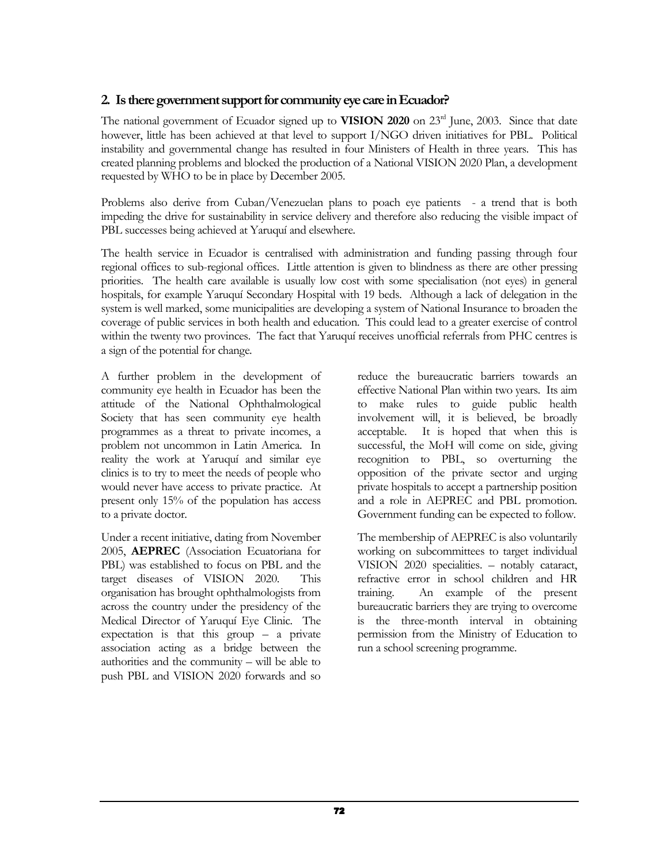# 2. Is there government support for community eye care in Ecuador?

The national government of Ecuador signed up to VISION 2020 on 23<sup>rd</sup> June, 2003. Since that date however, little has been achieved at that level to support I/NGO driven initiatives for PBL. Political instability and governmental change has resulted in four Ministers of Health in three years. This has created planning problems and blocked the production of a National VISION 2020 Plan, a development requested by WHO to be in place by December 2005.

Problems also derive from Cuban/Venezuelan plans to poach eye patients - a trend that is both impeding the drive for sustainability in service delivery and therefore also reducing the visible impact of PBL successes being achieved at Yaruquí and elsewhere.

The health service in Ecuador is centralised with administration and funding passing through four regional offices to sub-regional offices. Little attention is given to blindness as there are other pressing priorities. The health care available is usually low cost with some specialisation (not eyes) in general hospitals, for example Yaruquí Secondary Hospital with 19 beds. Although a lack of delegation in the system is well marked, some municipalities are developing a system of National Insurance to broaden the coverage of public services in both health and education. This could lead to a greater exercise of control within the twenty two provinces. The fact that Yaruquí receives unofficial referrals from PHC centres is a sign of the potential for change.

A further problem in the development of community eye health in Ecuador has been the attitude of the National Ophthalmological Society that has seen community eye health programmes as a threat to private incomes, a problem not uncommon in Latin America. In reality the work at Yaruquí and similar eye clinics is to try to meet the needs of people who would never have access to private practice. At present only 15% of the population has access to a private doctor.

Under a recent initiative, dating from November 2005, AEPREC (Association Ecuatoriana for PBL) was established to focus on PBL and the target diseases of VISION 2020. This organisation has brought ophthalmologists from across the country under the presidency of the Medical Director of Yaruquí Eye Clinic. The expectation is that this group  $-$  a private association acting as a bridge between the authorities and the community – will be able to push PBL and VISION 2020 forwards and so

reduce the bureaucratic barriers towards an effective National Plan within two years. Its aim to make rules to guide public health involvement will, it is believed, be broadly acceptable. It is hoped that when this is successful, the MoH will come on side, giving recognition to PBL, so overturning the opposition of the private sector and urging private hospitals to accept a partnership position and a role in AEPREC and PBL promotion. Government funding can be expected to follow.

The membership of AEPREC is also voluntarily working on subcommittees to target individual VISION 2020 specialities. – notably cataract, refractive error in school children and HR training. An example of the present bureaucratic barriers they are trying to overcome is the three-month interval in obtaining permission from the Ministry of Education to run a school screening programme.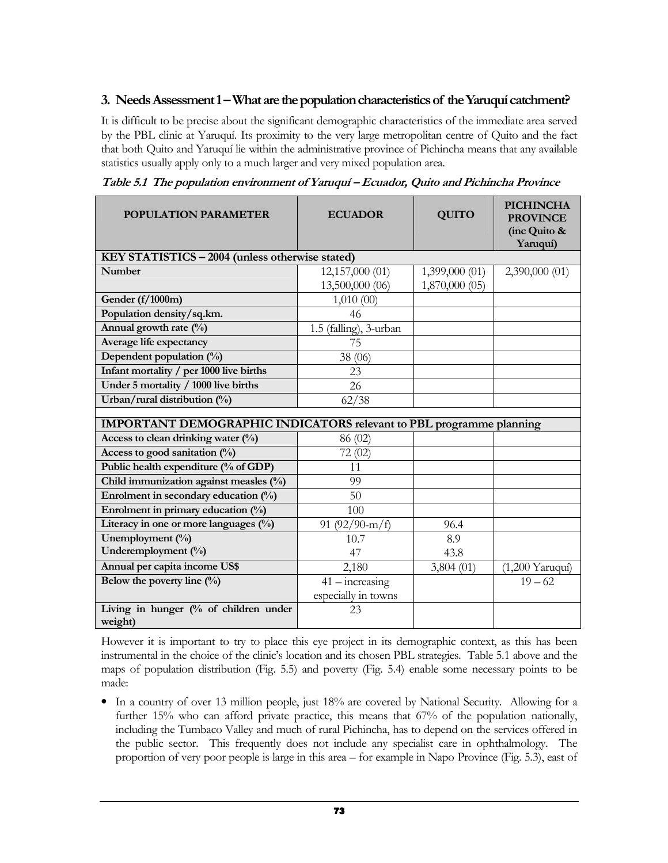# 3. Needs Assessment 1 – What are the population characteristics of the Yaruquí catchment?

It is difficult to be precise about the significant demographic characteristics of the immediate area served by the PBL clinic at Yaruquí. Its proximity to the very large metropolitan centre of Quito and the fact that both Quito and Yaruquí lie within the administrative province of Pichincha means that any available statistics usually apply only to a much larger and very mixed population area.

| <b>POPULATION PARAMETER</b>                                                | <b>ECUADOR</b>         | <b>QUITO</b>   | <b>PICHINCHA</b><br><b>PROVINCE</b><br>(inc Quito &<br>Yaruquí) |
|----------------------------------------------------------------------------|------------------------|----------------|-----------------------------------------------------------------|
| KEY STATISTICS - 2004 (unless otherwise stated)                            |                        |                |                                                                 |
| <b>Number</b>                                                              | 12,157,000 (01)        | 1,399,000 (01) | 2,390,000 (01)                                                  |
|                                                                            | 13,500,000 (06)        | 1,870,000 (05) |                                                                 |
| Gender (f/1000m)                                                           | 1,010(00)              |                |                                                                 |
| Population density/sq.km.                                                  | 46                     |                |                                                                 |
| Annual growth rate (%)                                                     | 1.5 (falling), 3-urban |                |                                                                 |
| Average life expectancy                                                    | 75                     |                |                                                                 |
| Dependent population $(\%)$                                                | 38 (06)                |                |                                                                 |
| Infant mortality / per 1000 live births                                    | 23                     |                |                                                                 |
| Under 5 mortality / 1000 live births                                       | 26                     |                |                                                                 |
| Urban/rural distribution (%)                                               | 62/38                  |                |                                                                 |
| <b>IMPORTANT DEMOGRAPHIC INDICATORS relevant to PBL programme planning</b> |                        |                |                                                                 |
|                                                                            |                        |                |                                                                 |
| Access to clean drinking water $(\%)$                                      | 86 (02)                |                |                                                                 |
| Access to good sanitation $(\%)$                                           | 72(02)                 |                |                                                                 |
| Public health expenditure (% of GDP)                                       | 11                     |                |                                                                 |
| Child immunization against measles (%)                                     | 99                     |                |                                                                 |
| Enrolment in secondary education (%)                                       | 50                     |                |                                                                 |
| Enrolment in primary education (%)                                         | 100                    |                |                                                                 |
| Literacy in one or more languages (%)                                      | 91 $(92/90-m/f)$       | 96.4           |                                                                 |
| Unemployment (%)                                                           | 10.7                   | 8.9            |                                                                 |
| Underemployment (%)                                                        | 47                     | 43.8           |                                                                 |
| Annual per capita income US\$                                              | 2,180                  | 3,804(01)      | $(1,200$ Yaruqui)                                               |
| Below the poverty line $(\%)$                                              | $41 - increasing$      |                | $19 - 62$                                                       |
|                                                                            | especially in towns    |                |                                                                 |
| Living in hunger (% of children under                                      | 23                     |                |                                                                 |
| weight)                                                                    |                        |                |                                                                 |

Table 5.1 The population environment of Yaruquí – Ecuador, Quito and Pichincha Province

However it is important to try to place this eye project in its demographic context, as this has been instrumental in the choice of the clinic's location and its chosen PBL strategies. Table 5.1 above and the maps of population distribution (Fig. 5.5) and poverty (Fig. 5.4) enable some necessary points to be made:

• In a country of over 13 million people, just 18% are covered by National Security. Allowing for a further 15% who can afford private practice, this means that 67% of the population nationally, including the Tumbaco Valley and much of rural Pichincha, has to depend on the services offered in the public sector. This frequently does not include any specialist care in ophthalmology. The proportion of very poor people is large in this area – for example in Napo Province (Fig. 5.3), east of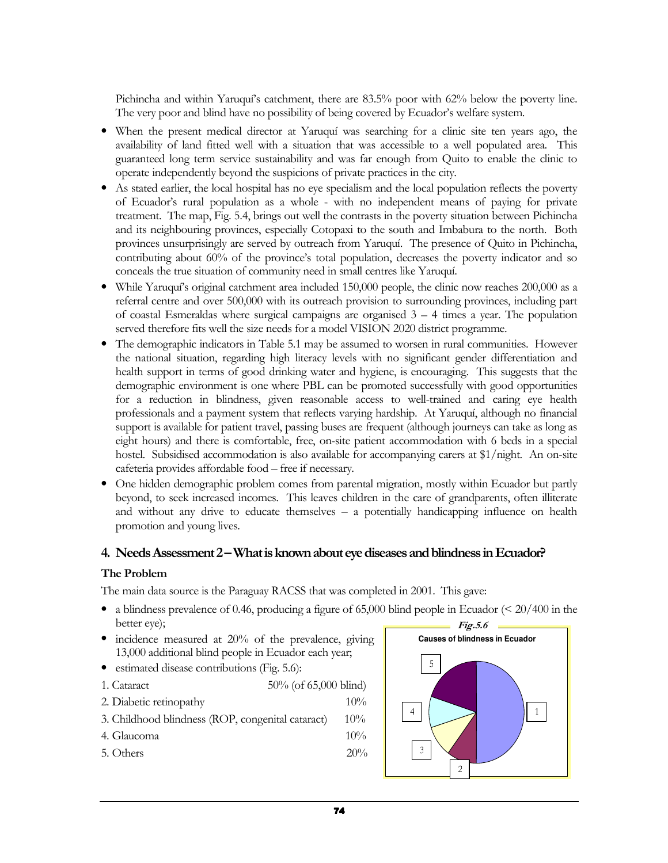Pichincha and within Yaruquí's catchment, there are 83.5% poor with 62% below the poverty line. The very poor and blind have no possibility of being covered by Ecuador's welfare system.

- When the present medical director at Yaruquí was searching for a clinic site ten years ago, the availability of land fitted well with a situation that was accessible to a well populated area. This guaranteed long term service sustainability and was far enough from Quito to enable the clinic to operate independently beyond the suspicions of private practices in the city.
- As stated earlier, the local hospital has no eye specialism and the local population reflects the poverty of Ecuador's rural population as a whole - with no independent means of paying for private treatment. The map, Fig. 5.4, brings out well the contrasts in the poverty situation between Pichincha and its neighbouring provinces, especially Cotopaxi to the south and Imbabura to the north. Both provinces unsurprisingly are served by outreach from Yaruquí. The presence of Quito in Pichincha, contributing about 60% of the province's total population, decreases the poverty indicator and so conceals the true situation of community need in small centres like Yaruquí.
- While Yaruquí's original catchment area included 150,000 people, the clinic now reaches 200,000 as a referral centre and over 500,000 with its outreach provision to surrounding provinces, including part of coastal Esmeraldas where surgical campaigns are organised  $3 - 4$  times a year. The population served therefore fits well the size needs for a model VISION 2020 district programme.
- The demographic indicators in Table 5.1 may be assumed to worsen in rural communities. However the national situation, regarding high literacy levels with no significant gender differentiation and health support in terms of good drinking water and hygiene, is encouraging. This suggests that the demographic environment is one where PBL can be promoted successfully with good opportunities for a reduction in blindness, given reasonable access to well-trained and caring eye health professionals and a payment system that reflects varying hardship. At Yaruquí, although no financial support is available for patient travel, passing buses are frequent (although journeys can take as long as eight hours) and there is comfortable, free, on-site patient accommodation with 6 beds in a special hostel. Subsidised accommodation is also available for accompanying carers at \$1/night. An on-site cafeteria provides affordable food – free if necessary.
- One hidden demographic problem comes from parental migration, mostly within Ecuador but partly beyond, to seek increased incomes. This leaves children in the care of grandparents, often illiterate and without any drive to educate themselves – a potentially handicapping influence on health promotion and young lives.

# 4. Needs Assessment 2 – What is known about eye diseases and blindness in Ecuador?

## The Problem

The main data source is the Paraguay RACSS that was completed in 2001. This gave:

- a blindness prevalence of 0.46, producing a figure of 65,000 blind people in Ecuador ( $\leq 20/400$  in the better eye);
- incidence measured at 20% of the prevalence, giving 13,000 additional blind people in Ecuador each year;
- estimated disease contributions (Fig. 5.6):
- 1. Cataract 50% (of 65,000 blind)
- 2. Diabetic retinopathy 10%
- 3. Childhood blindness (ROP, congenital cataract) 10%
- 4. Glaucoma 10%
- 5. Others  $20\%$

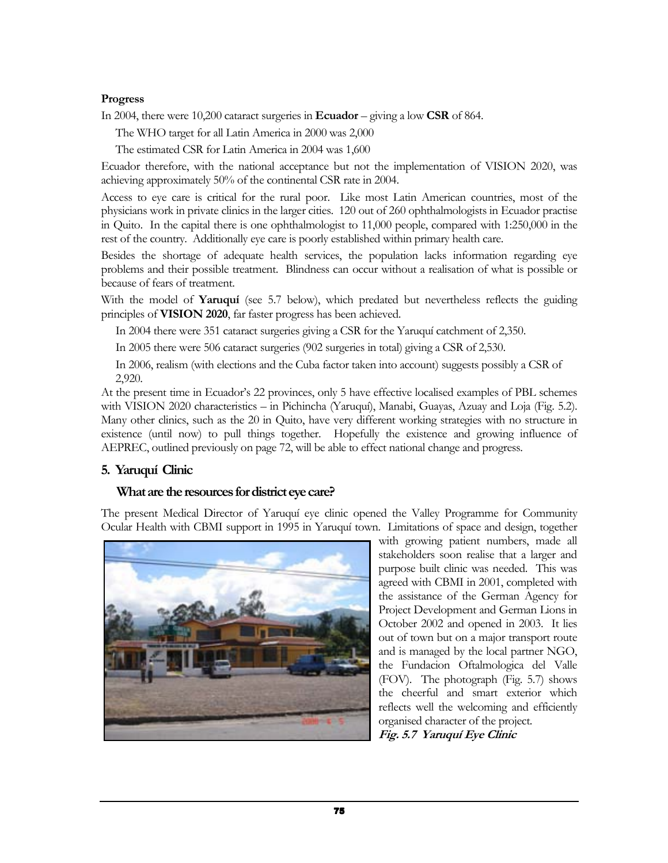### Progress

In 2004, there were 10,200 cataract surgeries in **Ecuador** – giving a low **CSR** of 864.

The WHO target for all Latin America in 2000 was 2,000

The estimated CSR for Latin America in 2004 was 1,600

Ecuador therefore, with the national acceptance but not the implementation of VISION 2020, was achieving approximately 50% of the continental CSR rate in 2004.

Access to eye care is critical for the rural poor. Like most Latin American countries, most of the physicians work in private clinics in the larger cities. 120 out of 260 ophthalmologists in Ecuador practise in Quito. In the capital there is one ophthalmologist to 11,000 people, compared with 1:250,000 in the rest of the country. Additionally eye care is poorly established within primary health care.

Besides the shortage of adequate health services, the population lacks information regarding eye problems and their possible treatment. Blindness can occur without a realisation of what is possible or because of fears of treatment.

With the model of Yaruquí (see 5.7 below), which predated but nevertheless reflects the guiding principles of VISION 2020, far faster progress has been achieved.

In 2004 there were 351 cataract surgeries giving a CSR for the Yaruquí catchment of 2,350.

In 2005 there were 506 cataract surgeries (902 surgeries in total) giving a CSR of 2,530.

In 2006, realism (with elections and the Cuba factor taken into account) suggests possibly a CSR of 2,920.

At the present time in Ecuador's 22 provinces, only 5 have effective localised examples of PBL schemes with VISION 2020 characteristics – in Pichincha (Yaruquí), Manabi, Guayas, Azuay and Loja (Fig. 5.2). Many other clinics, such as the 20 in Quito, have very different working strategies with no structure in existence (until now) to pull things together. Hopefully the existence and growing influence of AEPREC, outlined previously on page 72, will be able to effect national change and progress.

# 5. Yaruquí Clinic

# What are the resources for district eye care?

The present Medical Director of Yaruquí eye clinic opened the Valley Programme for Community Ocular Health with CBMI support in 1995 in Yaruquí town. Limitations of space and design, together



with growing patient numbers, made all stakeholders soon realise that a larger and purpose built clinic was needed. This was agreed with CBMI in 2001, completed with the assistance of the German Agency for Project Development and German Lions in October 2002 and opened in 2003. It lies out of town but on a major transport route and is managed by the local partner NGO, the Fundacion Oftalmologica del Valle (FOV). The photograph (Fig. 5.7) shows the cheerful and smart exterior which reflects well the welcoming and efficiently organised character of the project. Fig. 5.7 Yaruquí Eye Clinic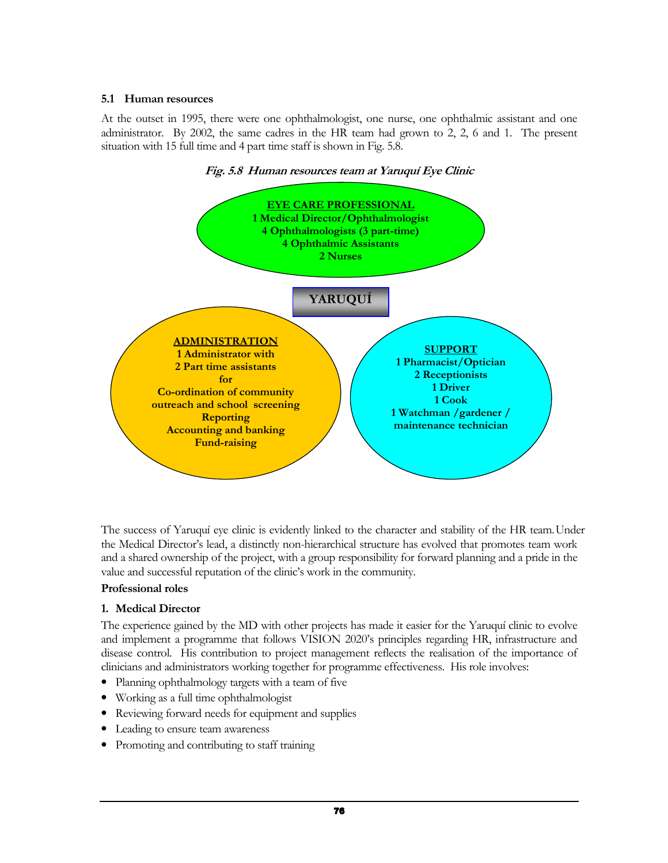## 5.1 Human resources

At the outset in 1995, there were one ophthalmologist, one nurse, one ophthalmic assistant and one administrator. By 2002, the same cadres in the HR team had grown to 2, 2, 6 and 1. The present situation with 15 full time and 4 part time staff is shown in Fig. 5.8.





the Medical Director's lead, a distinctly non-hierarchical structure has evolved that promotes team work and a shared ownership of the project, with a group responsibility for forward planning and a pride in the value and successful reputation of the clinic's work in the community. The success of Yaruquí eye clinic is evidently linked to the character and stability of the HR team.Under

## Professional roles

## 1. Medical Director

The experience gained by the MD with other projects has made it easier for the Yaruquí clinic to evolve and implement a programme that follows VISION 2020's principles regarding HR, infrastructure and disease control. His contribution to project management reflects the realisation of the importance of clinicians and administrators working together for programme effectiveness. His role involves:

- Planning ophthalmology targets with a team of five
- Working as a full time ophthalmologist
- Reviewing forward needs for equipment and supplies
- Leading to ensure team awareness
- Promoting and contributing to staff training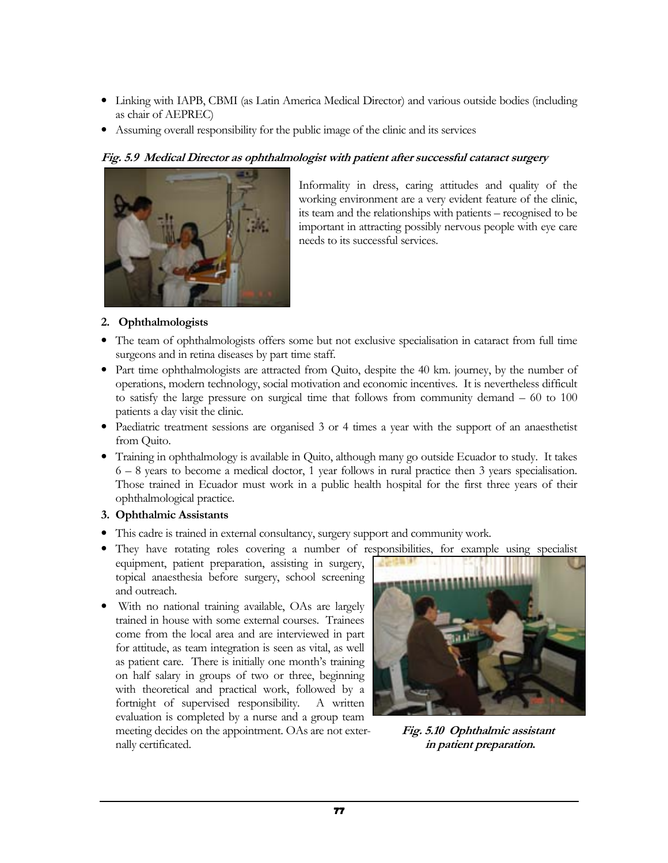- Linking with IAPB, CBMI (as Latin America Medical Director) and various outside bodies (including as chair of AEPREC)
- Assuming overall responsibility for the public image of the clinic and its services

## Fig. 5.9 Medical Director as ophthalmologist with patient after successful cataract surgery



Informality in dress, caring attitudes and quality of the working environment are a very evident feature of the clinic, its team and the relationships with patients – recognised to be important in attracting possibly nervous people with eye care needs to its successful services.

### 2. Ophthalmologists

- The team of ophthalmologists offers some but not exclusive specialisation in cataract from full time surgeons and in retina diseases by part time staff.
- Part time ophthalmologists are attracted from Quito, despite the 40 km. journey, by the number of operations, modern technology, social motivation and economic incentives. It is nevertheless difficult to satisfy the large pressure on surgical time that follows from community demand – 60 to 100 patients a day visit the clinic.
- Paediatric treatment sessions are organised 3 or 4 times a year with the support of an anaesthetist from Quito.
- Training in ophthalmology is available in Quito, although many go outside Ecuador to study. It takes 6 – 8 years to become a medical doctor, 1 year follows in rural practice then 3 years specialisation. Those trained in Ecuador must work in a public health hospital for the first three years of their ophthalmological practice.

#### 3. Ophthalmic Assistants

- This cadre is trained in external consultancy, surgery support and community work.
- They have rotating roles covering a number of responsibilities, for example using specialist
- equipment, patient preparation, assisting in surgery, topical anaesthesia before surgery, school screening and outreach.
- With no national training available, OAs are largely trained in house with some external courses. Trainees come from the local area and are interviewed in part for attitude, as team integration is seen as vital, as well as patient care. There is initially one month's training on half salary in groups of two or three, beginning with theoretical and practical work, followed by a fortnight of supervised responsibility. A written evaluation is completed by a nurse and a group team meeting decides on the appointment. OAs are not exter-<br>Fig. 5.10 Ophthalmic assistant nally certificated. in patient preparation.

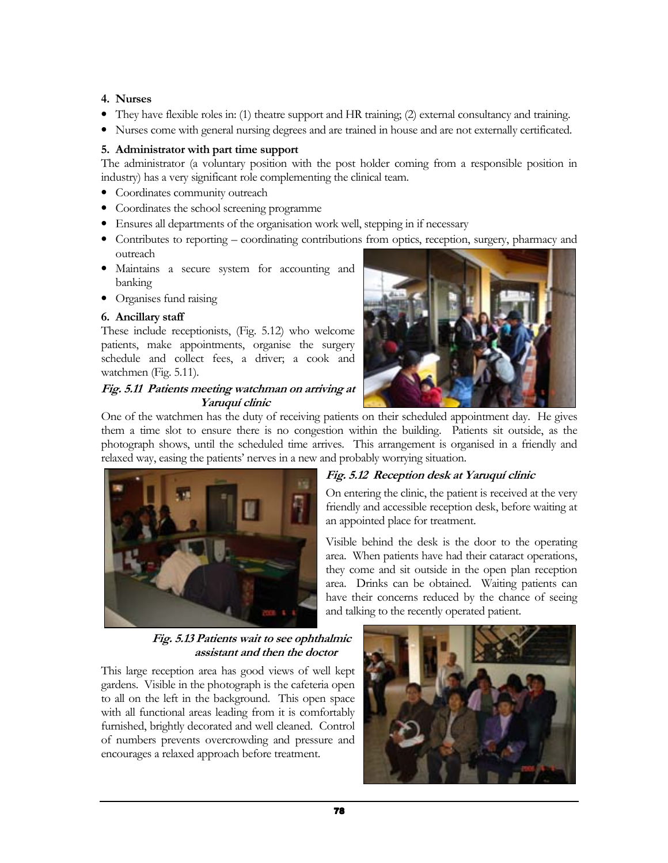## 4. Nurses

- They have flexible roles in: (1) theatre support and HR training; (2) external consultancy and training.
- Nurses come with general nursing degrees and are trained in house and are not externally certificated.

## 5. Administrator with part time support

The administrator (a voluntary position with the post holder coming from a responsible position in industry) has a very significant role complementing the clinical team.

- Coordinates community outreach
- Coordinates the school screening programme
- Ensures all departments of the organisation work well, stepping in if necessary
- Contributes to reporting coordinating contributions from optics, reception, surgery, pharmacy and outreach
- Maintains a secure system for accounting and banking
- Organises fund raising

#### 6. Ancillary staff

These include receptionists, (Fig. 5.12) who welcome patients, make appointments, organise the surgery schedule and collect fees, a driver; a cook and watchmen (Fig. 5.11).

#### Fig. 5.11 Patients meeting watchman on arriving at Yaruquí clinic

One of the watchmen has the duty of receiving patients on their scheduled appointment day. He gives them a time slot to ensure there is no congestion within the building. Patients sit outside, as the photograph shows, until the scheduled time arrives. This arrangement is organised in a friendly and relaxed way, easing the patients' nerves in a new and probably worrying situation.



# Fig. 5.12 Reception desk at Yaruquí clinic

On entering the clinic, the patient is received at the very friendly and accessible reception desk, before waiting at an appointed place for treatment.

Visible behind the desk is the door to the operating area. When patients have had their cataract operations, they come and sit outside in the open plan reception area. Drinks can be obtained. Waiting patients can have their concerns reduced by the chance of seeing and talking to the recently operated patient.

 Fig. 5.13 Patients wait to see ophthalmic assistant and then the doctor

This large reception area has good views of well kept gardens. Visible in the photograph is the cafeteria open to all on the left in the background. This open space with all functional areas leading from it is comfortably furnished, brightly decorated and well cleaned. Control of numbers prevents overcrowding and pressure and encourages a relaxed approach before treatment.

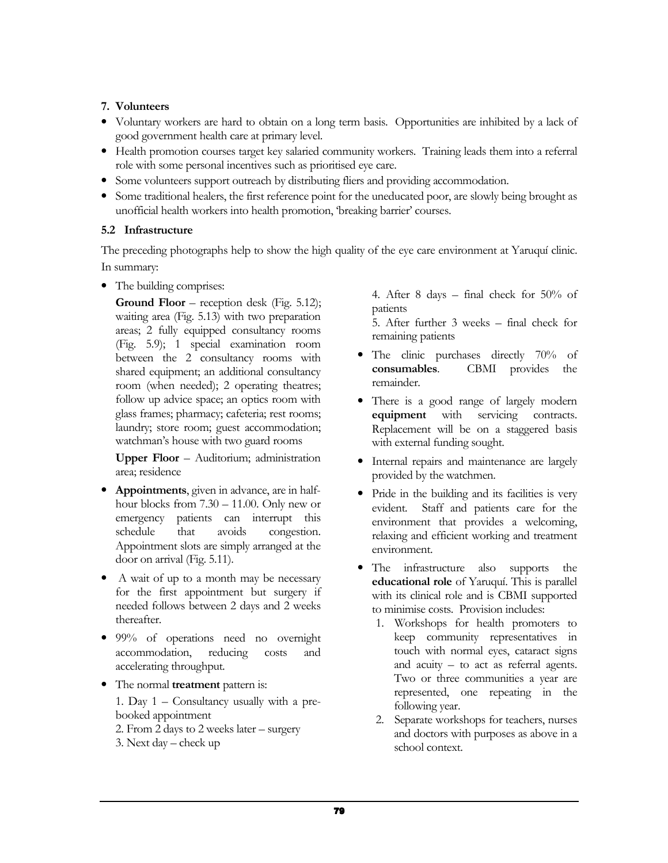## 7. Volunteers

- Voluntary workers are hard to obtain on a long term basis. Opportunities are inhibited by a lack of good government health care at primary level.
- Health promotion courses target key salaried community workers. Training leads them into a referral role with some personal incentives such as prioritised eye care.
- Some volunteers support outreach by distributing fliers and providing accommodation.
- Some traditional healers, the first reference point for the uneducated poor, are slowly being brought as unofficial health workers into health promotion, 'breaking barrier' courses.

## 5.2 Infrastructure

The preceding photographs help to show the high quality of the eye care environment at Yaruquí clinic. In summary:

• The building comprises:

Ground Floor – reception desk (Fig. 5.12); waiting area (Fig. 5.13) with two preparation areas; 2 fully equipped consultancy rooms (Fig. 5.9); 1 special examination room between the 2 consultancy rooms with shared equipment; an additional consultancy room (when needed); 2 operating theatres; follow up advice space; an optics room with glass frames; pharmacy; cafeteria; rest rooms; laundry; store room; guest accommodation; watchman's house with two guard rooms

Upper Floor – Auditorium; administration area; residence

- Appointments, given in advance, are in halfhour blocks from 7.30 – 11.00. Only new or emergency patients can interrupt this schedule that avoids congestion. Appointment slots are simply arranged at the door on arrival (Fig. 5.11).
- A wait of up to a month may be necessary for the first appointment but surgery if needed follows between 2 days and 2 weeks thereafter.
- 99% of operations need no overnight accommodation, reducing costs and accelerating throughput.
- The normal **treatment** pattern is:

1. Day 1 – Consultancy usually with a prebooked appointment

- 2. From 2 days to 2 weeks later surgery
- 3. Next day check up

4. After 8 days – final check for 50% of patients

5. After further 3 weeks – final check for remaining patients

- The clinic purchases directly 70% of consumables. CBMI provides the remainder.
- There is a good range of largely modern equipment with servicing contracts. Replacement will be on a staggered basis with external funding sought.
- Internal repairs and maintenance are largely provided by the watchmen.
- Pride in the building and its facilities is very evident. Staff and patients care for the environment that provides a welcoming, relaxing and efficient working and treatment environment.
- The infrastructure also supports the educational role of Yaruquí. This is parallel with its clinical role and is CBMI supported to minimise costs. Provision includes:
	- 1. Workshops for health promoters to keep community representatives in touch with normal eyes, cataract signs and acuity – to act as referral agents. Two or three communities a year are represented, one repeating in the following year.
	- 2. Separate workshops for teachers, nurses and doctors with purposes as above in a school context.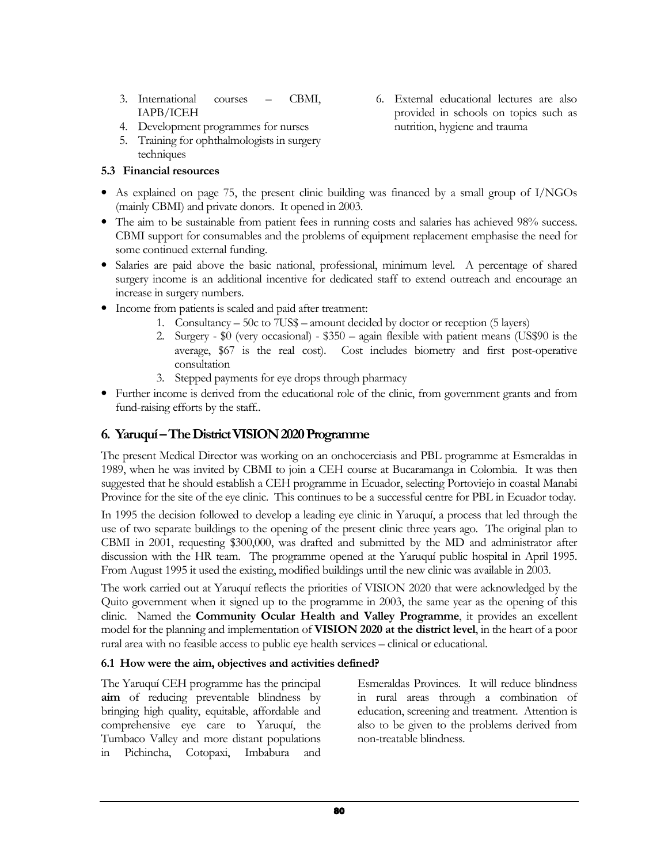- 3. International courses CBMI, IAPB/ICEH
- 4. Development programmes for nurses
- 5. Training for ophthalmologists in surgery techniques

## 5.3 Financial resources

- As explained on page 75, the present clinic building was financed by a small group of I/NGOs (mainly CBMI) and private donors. It opened in 2003.
- The aim to be sustainable from patient fees in running costs and salaries has achieved 98% success. CBMI support for consumables and the problems of equipment replacement emphasise the need for some continued external funding.
- Salaries are paid above the basic national, professional, minimum level. A percentage of shared surgery income is an additional incentive for dedicated staff to extend outreach and encourage an increase in surgery numbers.
- Income from patients is scaled and paid after treatment:
	- 1. Consultancy 50c to 7US\$ amount decided by doctor or reception (5 layers)
	- 2. Surgery \$0 (very occasional) \$350 again flexible with patient means (US\$90 is the average, \$67 is the real cost). Cost includes biometry and first post-operative consultation
	- 3. Stepped payments for eye drops through pharmacy
- Further income is derived from the educational role of the clinic, from government grants and from fund-raising efforts by the staff..

# 6. Yaruquí – The District VISION 2020 Programme

The present Medical Director was working on an onchocerciasis and PBL programme at Esmeraldas in 1989, when he was invited by CBMI to join a CEH course at Bucaramanga in Colombia. It was then suggested that he should establish a CEH programme in Ecuador, selecting Portoviejo in coastal Manabi Province for the site of the eye clinic. This continues to be a successful centre for PBL in Ecuador today.

In 1995 the decision followed to develop a leading eye clinic in Yaruquí, a process that led through the use of two separate buildings to the opening of the present clinic three years ago. The original plan to CBMI in 2001, requesting \$300,000, was drafted and submitted by the MD and administrator after discussion with the HR team. The programme opened at the Yaruquí public hospital in April 1995. From August 1995 it used the existing, modified buildings until the new clinic was available in 2003.

The work carried out at Yaruquí reflects the priorities of VISION 2020 that were acknowledged by the Quito government when it signed up to the programme in 2003, the same year as the opening of this clinic. Named the Community Ocular Health and Valley Programme, it provides an excellent model for the planning and implementation of VISION 2020 at the district level, in the heart of a poor rural area with no feasible access to public eye health services – clinical or educational.

## 6.1 How were the aim, objectives and activities defined?

The Yaruquí CEH programme has the principal aim of reducing preventable blindness by bringing high quality, equitable, affordable and comprehensive eye care to Yaruquí, the Tumbaco Valley and more distant populations in Pichincha, Cotopaxi, Imbabura and

Esmeraldas Provinces. It will reduce blindness in rural areas through a combination of education, screening and treatment. Attention is also to be given to the problems derived from non-treatable blindness.

6. External educational lectures are also provided in schools on topics such as nutrition, hygiene and trauma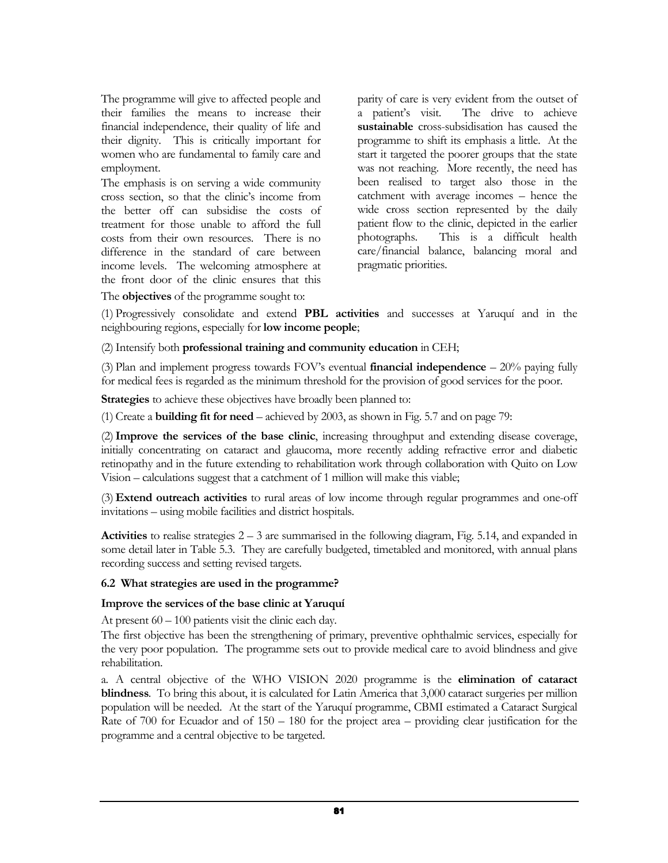The programme will give to affected people and their families the means to increase their financial independence, their quality of life and their dignity. This is critically important for women who are fundamental to family care and employment.

The emphasis is on serving a wide community cross section, so that the clinic's income from the better off can subsidise the costs of treatment for those unable to afford the full costs from their own resources. There is no difference in the standard of care between income levels. The welcoming atmosphere at the front door of the clinic ensures that this parity of care is very evident from the outset of a patient's visit. The drive to achieve sustainable cross-subsidisation has caused the programme to shift its emphasis a little. At the start it targeted the poorer groups that the state was not reaching. More recently, the need has been realised to target also those in the catchment with average incomes – hence the wide cross section represented by the daily patient flow to the clinic, depicted in the earlier photographs. This is a difficult health care/financial balance, balancing moral and pragmatic priorities.

The **objectives** of the programme sought to:

(1) Progressively consolidate and extend PBL activities and successes at Yaruquí and in the neighbouring regions, especially for low income people;

(2) Intensify both professional training and community education in CEH;

(3) Plan and implement progress towards FOV's eventual **financial independence**  $-20\%$  paying fully for medical fees is regarded as the minimum threshold for the provision of good services for the poor.

Strategies to achieve these objectives have broadly been planned to:

(1) Create a **building fit for need** – achieved by 2003, as shown in Fig. 5.7 and on page 79:

(2) Improve the services of the base clinic, increasing throughput and extending disease coverage, initially concentrating on cataract and glaucoma, more recently adding refractive error and diabetic retinopathy and in the future extending to rehabilitation work through collaboration with Quito on Low Vision – calculations suggest that a catchment of 1 million will make this viable;

(3) Extend outreach activities to rural areas of low income through regular programmes and one-off invitations – using mobile facilities and district hospitals.

Activities to realise strategies  $2 - 3$  are summarised in the following diagram, Fig. 5.14, and expanded in some detail later in Table 5.3. They are carefully budgeted, timetabled and monitored, with annual plans recording success and setting revised targets.

#### 6.2 What strategies are used in the programme?

#### Improve the services of the base clinic at Yaruquí

At present  $60 - 100$  patients visit the clinic each day.

The first objective has been the strengthening of primary, preventive ophthalmic services, especially for the very poor population. The programme sets out to provide medical care to avoid blindness and give rehabilitation.

a. A central objective of the WHO VISION 2020 programme is the elimination of cataract blindness. To bring this about, it is calculated for Latin America that 3,000 cataract surgeries per million population will be needed. At the start of the Yaruquí programme, CBMI estimated a Cataract Surgical Rate of 700 for Ecuador and of 150 – 180 for the project area – providing clear justification for the programme and a central objective to be targeted.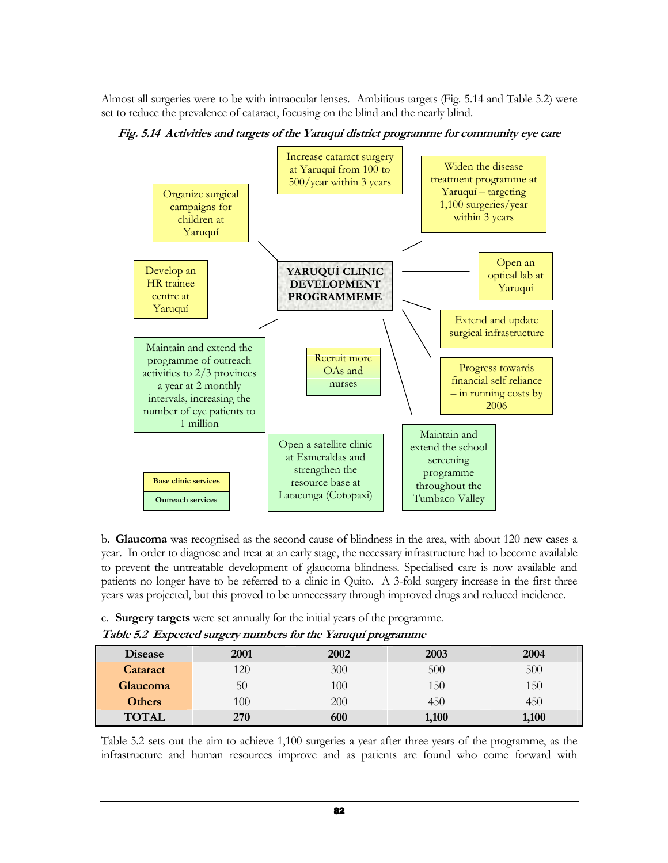Almost all surgeries were to be with intraocular lenses. Ambitious targets (Fig. 5.14 and Table 5.2) were set to reduce the prevalence of cataract, focusing on the blind and the nearly blind.





b. Glaucoma was recognised as the second cause of blindness in the area, with about 120 new cases a year. In order to diagnose and treat at an early stage, the necessary infrastructure had to become available to prevent the untreatable development of glaucoma blindness. Specialised care is now available and patients no longer have to be referred to a clinic in Quito. A 3-fold surgery increase in the first three years was projected, but this proved to be unnecessary through improved drugs and reduced incidence.

c. Surgery targets were set annually for the initial years of the programme.

| <b>Disease</b>  | 2001 | 2002 | 2003  | 2004  |
|-----------------|------|------|-------|-------|
| <b>Cataract</b> | 120  | 300  | 500   | 500   |
| Glaucoma        | 50   | 100  | 150   | 150   |
| <b>Others</b>   | 100  | 200  | 450   | 450   |
| <b>TOTAL</b>    | 270  | 600  | 1,100 | 1,100 |

Table 5.2 sets out the aim to achieve 1,100 surgeries a year after three years of the programme, as the infrastructure and human resources improve and as patients are found who come forward with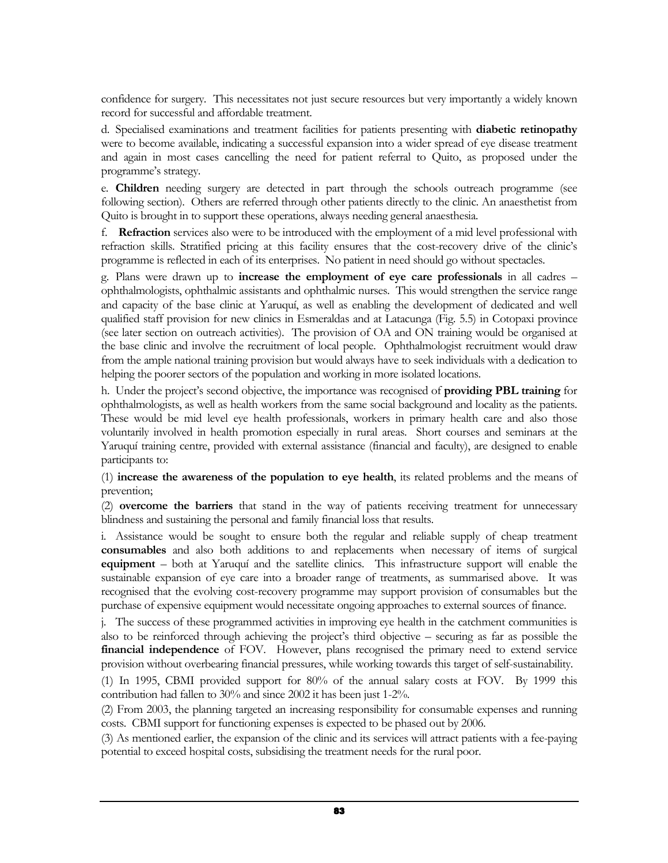confidence for surgery. This necessitates not just secure resources but very importantly a widely known record for successful and affordable treatment.

d. Specialised examinations and treatment facilities for patients presenting with diabetic retinopathy were to become available, indicating a successful expansion into a wider spread of eye disease treatment and again in most cases cancelling the need for patient referral to Quito, as proposed under the programme's strategy.

e. Children needing surgery are detected in part through the schools outreach programme (see following section). Others are referred through other patients directly to the clinic. An anaesthetist from Quito is brought in to support these operations, always needing general anaesthesia.

f. Refraction services also were to be introduced with the employment of a mid level professional with refraction skills. Stratified pricing at this facility ensures that the cost-recovery drive of the clinic's programme is reflected in each of its enterprises. No patient in need should go without spectacles.

g. Plans were drawn up to increase the employment of eye care professionals in all cadres – ophthalmologists, ophthalmic assistants and ophthalmic nurses. This would strengthen the service range and capacity of the base clinic at Yaruquí, as well as enabling the development of dedicated and well qualified staff provision for new clinics in Esmeraldas and at Latacunga (Fig. 5.5) in Cotopaxi province (see later section on outreach activities). The provision of OA and ON training would be organised at the base clinic and involve the recruitment of local people. Ophthalmologist recruitment would draw from the ample national training provision but would always have to seek individuals with a dedication to helping the poorer sectors of the population and working in more isolated locations.

h. Under the project's second objective, the importance was recognised of providing PBL training for ophthalmologists, as well as health workers from the same social background and locality as the patients. These would be mid level eye health professionals, workers in primary health care and also those voluntarily involved in health promotion especially in rural areas. Short courses and seminars at the Yaruquí training centre, provided with external assistance (financial and faculty), are designed to enable participants to:

(1) increase the awareness of the population to eye health, its related problems and the means of prevention;

(2) overcome the barriers that stand in the way of patients receiving treatment for unnecessary blindness and sustaining the personal and family financial loss that results.

i. Assistance would be sought to ensure both the regular and reliable supply of cheap treatment consumables and also both additions to and replacements when necessary of items of surgical equipment – both at Yaruquí and the satellite clinics. This infrastructure support will enable the sustainable expansion of eye care into a broader range of treatments, as summarised above. It was recognised that the evolving cost-recovery programme may support provision of consumables but the purchase of expensive equipment would necessitate ongoing approaches to external sources of finance.

j. The success of these programmed activities in improving eye health in the catchment communities is also to be reinforced through achieving the project's third objective – securing as far as possible the financial independence of FOV. However, plans recognised the primary need to extend service provision without overbearing financial pressures, while working towards this target of self-sustainability.

(1) In 1995, CBMI provided support for 80% of the annual salary costs at FOV. By 1999 this contribution had fallen to 30% and since 2002 it has been just 1-2%.

(2) From 2003, the planning targeted an increasing responsibility for consumable expenses and running costs. CBMI support for functioning expenses is expected to be phased out by 2006.

(3) As mentioned earlier, the expansion of the clinic and its services will attract patients with a fee-paying potential to exceed hospital costs, subsidising the treatment needs for the rural poor.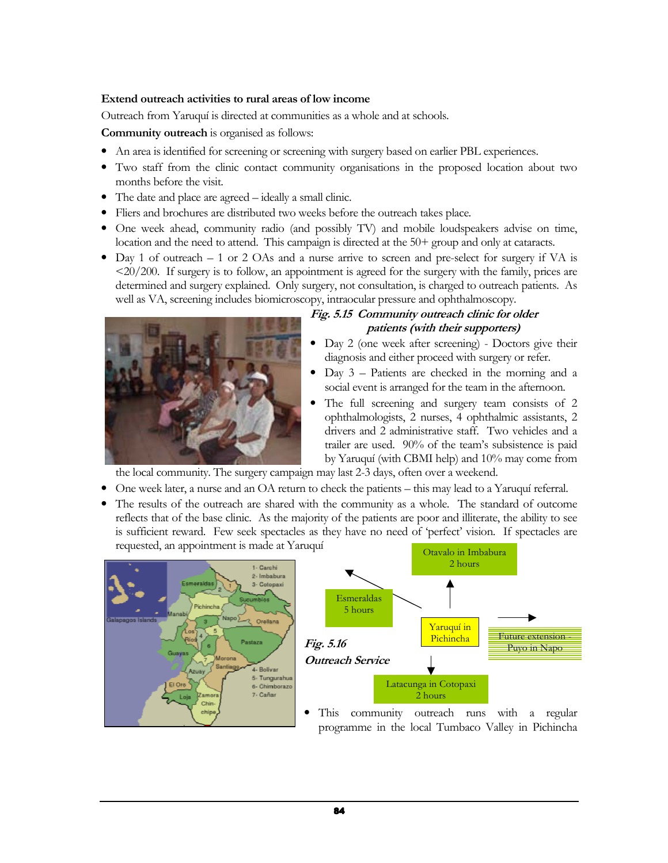### Extend outreach activities to rural areas of low income

Outreach from Yaruquí is directed at communities as a whole and at schools.

Community outreach is organised as follows:

- An area is identified for screening or screening with surgery based on earlier PBL experiences.
- Two staff from the clinic contact community organisations in the proposed location about two months before the visit.
- The date and place are agreed ideally a small clinic.
- Fliers and brochures are distributed two weeks before the outreach takes place.
- One week ahead, community radio (and possibly TV) and mobile loudspeakers advise on time, location and the need to attend. This campaign is directed at the 50+ group and only at cataracts.
- Day 1 of outreach 1 or 2 OAs and a nurse arrive to screen and pre-select for surgery if VA is  $\langle 20/200$ . If surgery is to follow, an appointment is agreed for the surgery with the family, prices are determined and surgery explained. Only surgery, not consultation, is charged to outreach patients. As well as VA, screening includes biomicroscopy, intraocular pressure and ophthalmoscopy.



## Fig. 5.15 Community outreach clinic for older patients (with their supporters)

- Day 2 (one week after screening) Doctors give their diagnosis and either proceed with surgery or refer.
- Day 3 Patients are checked in the morning and a social event is arranged for the team in the afternoon.
- The full screening and surgery team consists of 2 ophthalmologists, 2 nurses, 4 ophthalmic assistants, 2 drivers and 2 administrative staff. Two vehicles and a trailer are used. 90% of the team's subsistence is paid by Yaruquí (with CBMI help) and 10% may come from

the local community. The surgery campaign may last 2-3 days, often over a weekend.

- One week later, a nurse and an OA return to check the patients this may lead to a Yaruquí referral.
- The results of the outreach are shared with the community as a whole. The standard of outcome reflects that of the base clinic. As the majority of the patients are poor and illiterate, the ability to see is sufficient reward. Few seek spectacles as they have no need of 'perfect' vision. If spectacles are requested, an appointment is made at Yaruquí





This community outreach runs with a regular programme in the local Tumbaco Valley in Pichincha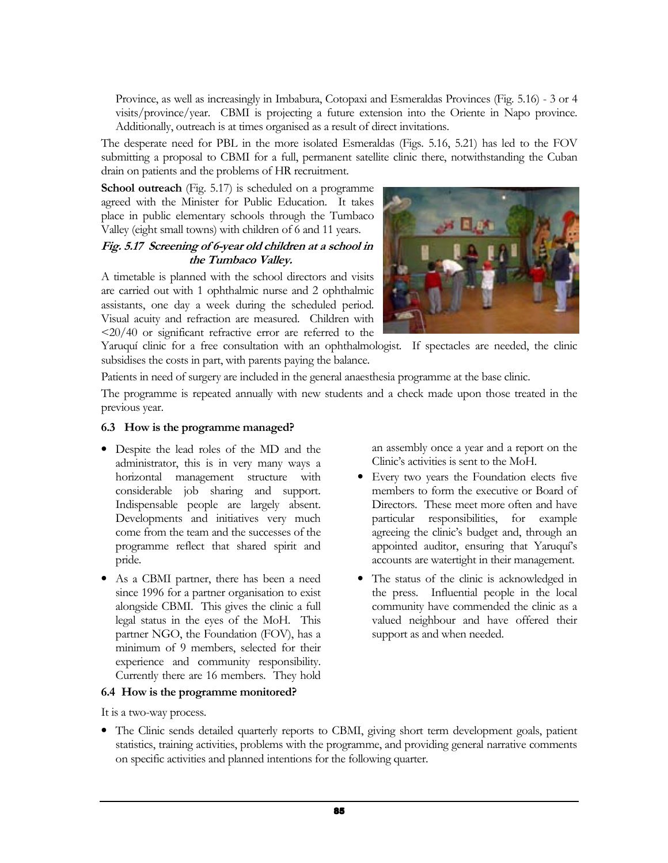Province, as well as increasingly in Imbabura, Cotopaxi and Esmeraldas Provinces (Fig. 5.16) - 3 or 4 visits/province/year. CBMI is projecting a future extension into the Oriente in Napo province. Additionally, outreach is at times organised as a result of direct invitations.

The desperate need for PBL in the more isolated Esmeraldas (Figs. 5.16, 5.21) has led to the FOV submitting a proposal to CBMI for a full, permanent satellite clinic there, notwithstanding the Cuban drain on patients and the problems of HR recruitment.

School outreach (Fig. 5.17) is scheduled on a programme agreed with the Minister for Public Education. It takes place in public elementary schools through the Tumbaco Valley (eight small towns) with children of 6 and 11 years.

## Fig. 5.17 Screening of 6-year old children at a school in the Tumbaco Valley.

A timetable is planned with the school directors and visits are carried out with 1 ophthalmic nurse and 2 ophthalmic assistants, one day a week during the scheduled period. Visual acuity and refraction are measured. Children with <20/40 or significant refractive error are referred to the



Yaruquí clinic for a free consultation with an ophthalmologist. If spectacles are needed, the clinic subsidises the costs in part, with parents paying the balance.

Patients in need of surgery are included in the general anaesthesia programme at the base clinic.

The programme is repeated annually with new students and a check made upon those treated in the previous year.

### 6.3 How is the programme managed?

- Despite the lead roles of the MD and the administrator, this is in very many ways a horizontal management structure with considerable job sharing and support. Indispensable people are largely absent. Developments and initiatives very much come from the team and the successes of the programme reflect that shared spirit and pride.
- As a CBMI partner, there has been a need since 1996 for a partner organisation to exist alongside CBMI. This gives the clinic a full legal status in the eyes of the MoH. This partner NGO, the Foundation (FOV), has a minimum of 9 members, selected for their experience and community responsibility. Currently there are 16 members. They hold

#### 6.4 How is the programme monitored?

It is a two-way process.

- an assembly once a year and a report on the Clinic's activities is sent to the MoH.
- Every two years the Foundation elects five members to form the executive or Board of Directors. These meet more often and have particular responsibilities, for example agreeing the clinic's budget and, through an appointed auditor, ensuring that Yaruquí's accounts are watertight in their management.
- The status of the clinic is acknowledged in the press. Influential people in the local community have commended the clinic as a valued neighbour and have offered their support as and when needed.
- The Clinic sends detailed quarterly reports to CBMI, giving short term development goals, patient statistics, training activities, problems with the programme, and providing general narrative comments on specific activities and planned intentions for the following quarter.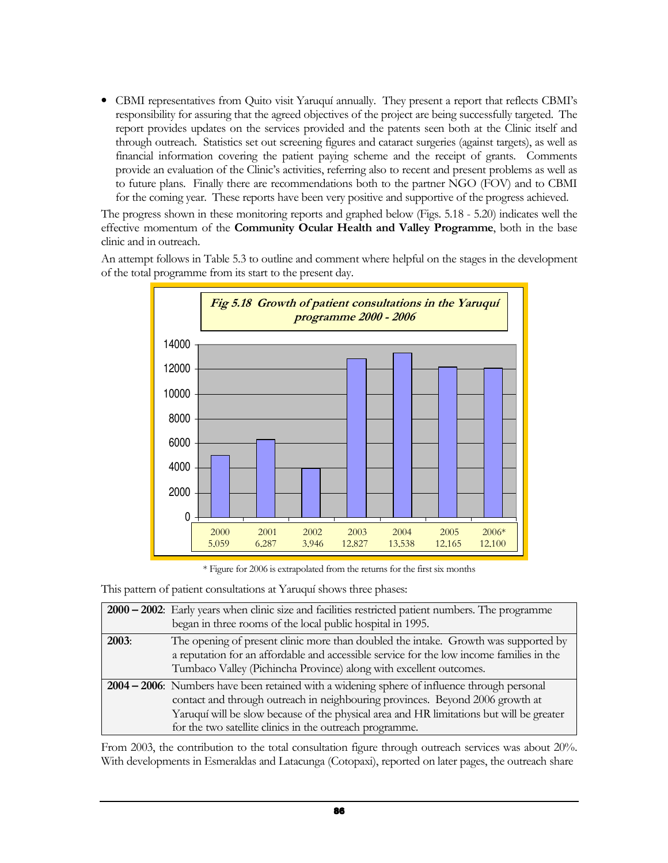• CBMI representatives from Quito visit Yaruquí annually. They present a report that reflects CBMI's responsibility for assuring that the agreed objectives of the project are being successfully targeted. The report provides updates on the services provided and the patents seen both at the Clinic itself and through outreach. Statistics set out screening figures and cataract surgeries (against targets), as well as financial information covering the patient paying scheme and the receipt of grants. Comments provide an evaluation of the Clinic's activities, referring also to recent and present problems as well as to future plans. Finally there are recommendations both to the partner NGO (FOV) and to CBMI for the coming year. These reports have been very positive and supportive of the progress achieved.

The progress shown in these monitoring reports and graphed below (Figs. 5.18 - 5.20) indicates well the effective momentum of the Community Ocular Health and Valley Programme, both in the base clinic and in outreach.

An attempt follows in Table 5.3 to outline and comment where helpful on the stages in the development of the total programme from its start to the present day.



\* Figure for 2006 is extrapolated from the returns for the first six months

This pattern of patient consultations at Yaruquí shows three phases:

|       | $2000 - 2002$ : Early years when clinic size and facilities restricted patient numbers. The programme<br>began in three rooms of the local public hospital in 1995.                                                                                                                                                                   |
|-------|---------------------------------------------------------------------------------------------------------------------------------------------------------------------------------------------------------------------------------------------------------------------------------------------------------------------------------------|
| 2003: | The opening of present clinic more than doubled the intake. Growth was supported by<br>a reputation for an affordable and accessible service for the low income families in the<br>Tumbaco Valley (Pichincha Province) along with excellent outcomes.                                                                                 |
|       | 2004 - 2006: Numbers have been retained with a widening sphere of influence through personal<br>contact and through outreach in neighbouring provinces. Beyond 2006 growth at<br>Yaruquí will be slow because of the physical area and HR limitations but will be greater<br>for the two satellite clinics in the outreach programme. |

From 2003, the contribution to the total consultation figure through outreach services was about 20%. With developments in Esmeraldas and Latacunga (Cotopaxi), reported on later pages, the outreach share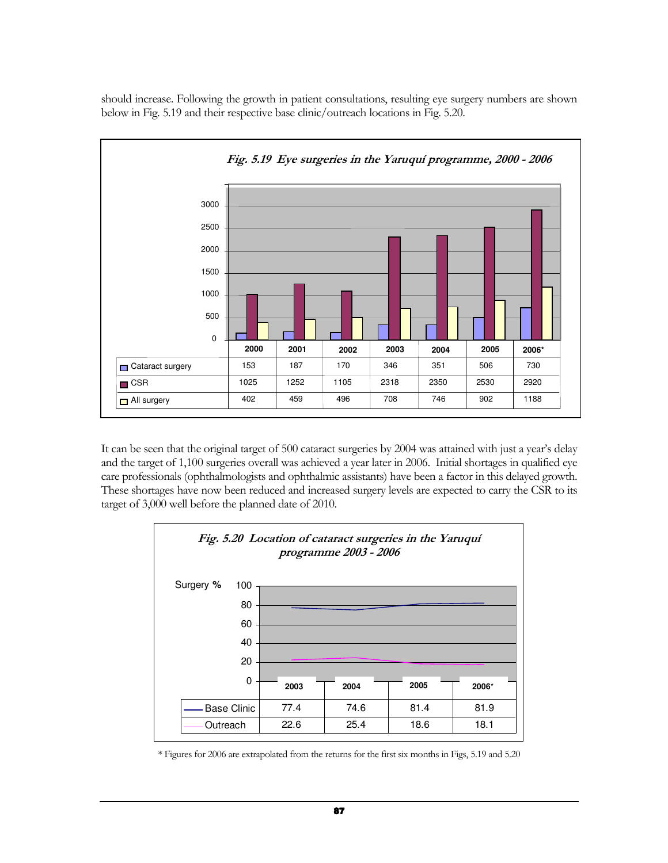should increase. Following the growth in patient consultations, resulting eye surgery numbers are shown below in Fig. 5.19 and their respective base clinic/outreach locations in Fig. 5.20.



It can be seen that the original target of 500 cataract surgeries by 2004 was attained with just a year's delay and the target of 1,100 surgeries overall was achieved a year later in 2006. Initial shortages in qualified eye care professionals (ophthalmologists and ophthalmic assistants) have been a factor in this delayed growth. These shortages have now been reduced and increased surgery levels are expected to carry the CSR to its target of 3,000 well before the planned date of 2010.



\* Figures for 2006 are extrapolated from the returns for the first six months in Figs, 5.19 and 5.20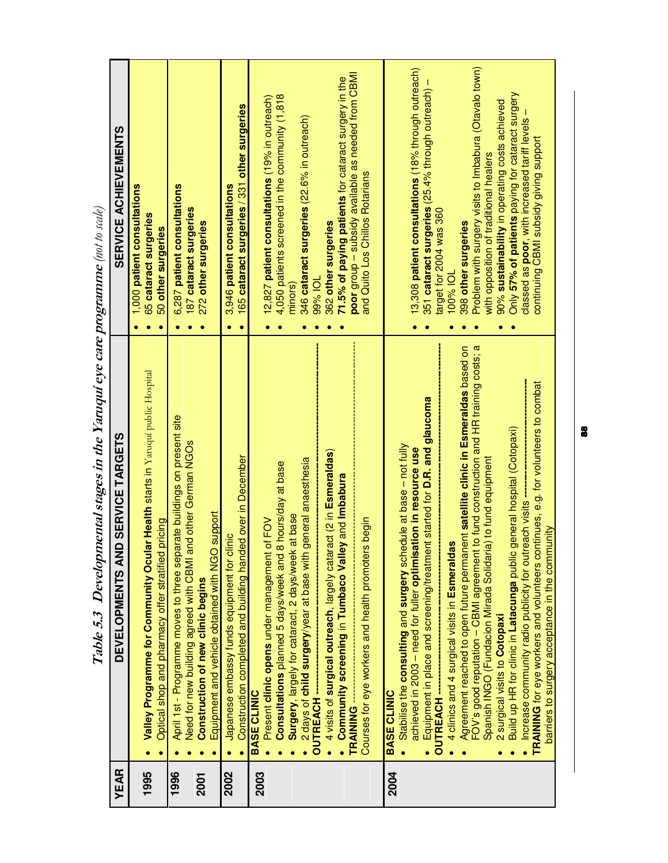| <b>YEAR</b> | DEVELOPMENTS AND SERVICE TARGETS                                                                                                                                                                                                                                                                           | <b>SERVICE ACHIEVEMENTS</b>                                                                                                                                                                                                             |
|-------------|------------------------------------------------------------------------------------------------------------------------------------------------------------------------------------------------------------------------------------------------------------------------------------------------------------|-----------------------------------------------------------------------------------------------------------------------------------------------------------------------------------------------------------------------------------------|
| 1995        | Valley Programme for Community Ocular Health starts in Yaruquí public Hospital<br>Optical shop and pharmacy offer stratified pricing                                                                                                                                                                       | 1,000 patient consultations<br>65 cataract surgeries<br>50 other surgeries                                                                                                                                                              |
| 1996        | April 1st - Programme moves to three separate buildings on present site<br>Need for new building agreed with CBMI and other German NGOs                                                                                                                                                                    | 6,287 patient consultations                                                                                                                                                                                                             |
| <b>2001</b> | Equipment and vehicle obtained with NGO support<br><b>Construction of new clinic begins</b>                                                                                                                                                                                                                | 187 cataract surgeries<br>272 other surgeries                                                                                                                                                                                           |
| 2002        | Construction completed and building handed over in December<br>Japanese embassy funds equipment for clinic                                                                                                                                                                                                 | 165 cataract surgeries / 331 other surgeries<br>3,946 patient consultations                                                                                                                                                             |
| 2003        | Consultations planned 5 days/week and 8 hours/day at base<br>of FOV<br>Present clinic opens under management<br><b>BASE CLINIC</b>                                                                                                                                                                         | 4,050 patients screened in the community (1,818<br>12,827 patient consultations (19% in outreach)                                                                                                                                       |
|             | general anaesthesia<br>Surgery, largely for cataract, 2 days/week at base<br>2 days of child surgery/year at base with                                                                                                                                                                                     | 346 cataract surgeries (22.6% in outreach)<br>minors)                                                                                                                                                                                   |
|             | act (2 in Esmeraldas)<br>Community screening in Tumbaco Valley and Imbabura<br>4 visits of surgical outreach, largely catar<br><b>OUTREACH-</b><br>TRAINING-                                                                                                                                               | poor group - subsidy available as needed from CBMI<br>71.5% of paying patients for cataract surgery in the<br>362 other surgeries<br>99% IOL                                                                                            |
|             | Courses for eye workers and health promoters begin                                                                                                                                                                                                                                                         | and Quito Los Chillos Rotarians                                                                                                                                                                                                         |
| 2004        | Equipment in place and screening/treatment started for D.R. and glaucoma<br>Stabilise the consulting and surgery schedule at base - not fully<br>achieved in 2003 - need for fuller optimisation in resource use<br><b>OUTREACH-</b><br><b>BASE CLINIC</b>                                                 | 13,308 patient consultations (18% through outreach)<br>351 cataract surgeries (25.4% through outreach) -<br>target for 2004 was 360                                                                                                     |
|             | FOV's good reputation - CBMI agreement to fund construction and HR training costs; a<br>Agreement reached to open future permanent satellite clinic in Esmeraldas based on<br>Spanish INGO (Fundacion Mirada Solidaria) to fund equipment<br>4 clinics and 4 surgical visits in Esmeraldas                 | Problem with surgery visits to Imbabura (Otavalo town)<br>398 other surgeries<br>100% IOL                                                                                                                                               |
|             | TRAINING for eye workers and volunteers continues, e.g. for volunteers to combat<br>Build up HR for clinic in Latacunga public general hospital (Cotopaxi)<br>Increase community radio publicity for outreach visits -<br>barriers to surgery acceptance in the community<br>2 surgical visits to Cotopaxi | Only 57% of patients paying for cataract surgery<br>90% sustainability in operating costs achieved<br>classed as poor, with increased tariff levels<br>continuing CBMI subsidy giving support<br>with opposition of traditional healers |
|             |                                                                                                                                                                                                                                                                                                            |                                                                                                                                                                                                                                         |

| ara concentrative in the Vaniani are one and the concentrative in a<br>$\mathbf{I}$<br>i<br>١<br>I |
|----------------------------------------------------------------------------------------------------|
|                                                                                                    |
|                                                                                                    |
|                                                                                                    |
|                                                                                                    |
|                                                                                                    |
| ١                                                                                                  |
| ;                                                                                                  |
|                                                                                                    |
| )<br>)<br>)<br>,<br>I                                                                              |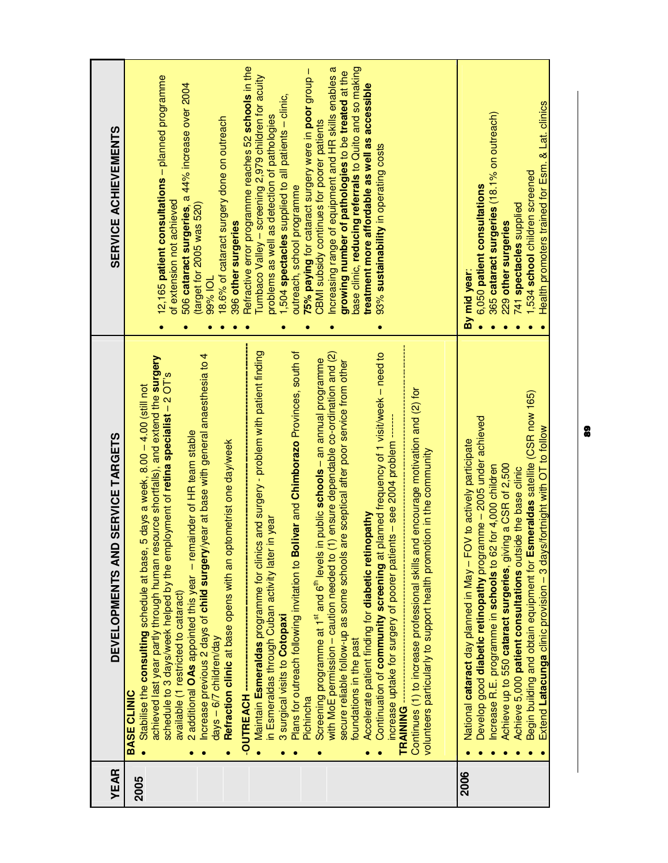| YEAR | D SERVICE TARGETS<br>DEVELOPMENTS AN                                                                                                                                                                                                                                                                                                                                                                                                                                                                                                                                                                                                                                                                                                                                                                                                                                                                                                                                                                                                                                                                                                                                                                                                                                                                                                                                                                                                                                                                                                                                                                                                                        | <b>SERVICE ACHIEVEMENTS</b>                                                                                                                                                                                                                                                                                                                                                                                                                                                                                                                                                                                                                                                                                                                                                                                                                                                    |
|------|-------------------------------------------------------------------------------------------------------------------------------------------------------------------------------------------------------------------------------------------------------------------------------------------------------------------------------------------------------------------------------------------------------------------------------------------------------------------------------------------------------------------------------------------------------------------------------------------------------------------------------------------------------------------------------------------------------------------------------------------------------------------------------------------------------------------------------------------------------------------------------------------------------------------------------------------------------------------------------------------------------------------------------------------------------------------------------------------------------------------------------------------------------------------------------------------------------------------------------------------------------------------------------------------------------------------------------------------------------------------------------------------------------------------------------------------------------------------------------------------------------------------------------------------------------------------------------------------------------------------------------------------------------------|--------------------------------------------------------------------------------------------------------------------------------------------------------------------------------------------------------------------------------------------------------------------------------------------------------------------------------------------------------------------------------------------------------------------------------------------------------------------------------------------------------------------------------------------------------------------------------------------------------------------------------------------------------------------------------------------------------------------------------------------------------------------------------------------------------------------------------------------------------------------------------|
| 2005 | Plans for outreach following invitation to Bolivar and Chimborazo Provinces, south of<br>Maintain <b>Esmeraldas p</b> rogramme for clinics and surgery - problem with patient finding<br>Continuation of community screening at planned frequency of 1 visit/week - need to<br>(1) ensure dependable co-ordination and (2)<br>horease previous 2 days of <b>child surgery</b> /year at base with general anaesthesia to 4<br>achieved last year partly through human resource shortfalls), and extend the <b>surgery</b><br>in public schools - an annual programme<br>are sceptical after poor service from other<br>schedule to 3 days/week helped by the employment of retina specialist - 2 OT's<br>5 days a week, 8.00 - 4.00 (still not<br>Continues (1) to increase professional skills and encourage motivation and (2) for<br>increase uptake for surgery of poorer patients - see 2004 problem ---<br>2 additional <b>OAs</b> appointed this year - remainder of HR team stable<br>Refraction clinic at base opens with an optometrist one day/week<br>volunteers particularly to support health promotion in the community<br>Accelerate patient finding for diabetic retinopathy<br>in year<br>Stabilise the consulting schedule at base,<br>in Esmeraldas through Cuban activity later<br>with MoE permission - caution needed to (<br>Screening programme at 1st and 6 <sup>th</sup> levels<br>secure reliable follow-up as some schools<br>available (1 restricted to cataract)<br>3 surgical visits to Cotopaxi<br>days – 6/7 children/day<br>foundations in the past<br><b>BASE CLINIC</b><br>-OUTREACH<br>Pichincha<br><b>TRAINING --</b> | Refractive error programme reaches 52 schools in the<br>base clinic, reducing referrals to Quito and so making<br>Increasing range of equipment and HR skills enables a<br>75% paying for cataract surgery were in poor group -<br>growing number of pathologies to be treated at the<br>Tumbaco Valley - screening 2,979 children for acuity<br>12,165 patient consultations - planned programme<br>506 cataract surgeries, a 44% increase over 2004<br>treatment more affordable as well as accessible<br>1,504 spectacles supplied to all patients - clinic,<br>problems as well as detection of pathologies<br>18.6% of cataract surgery done on outreach<br>CBMI subsidy continues for poorer patients<br>93% sustainability in operating costs<br>outreach, school programme<br>of extension not achieved<br>(target for 2005 was 520)<br>396 other surgeries<br>99% IOL |
| 2006 | Begin building and obtain equipment for Esmeraldas satellite (CSR now 165)<br>Develop good <b>diabetic retinopathy</b> programme - 2005 under achieved<br>Extend Latacunga clinic provision - 3 days/fortnight with OT to follow<br>National cataract day planned in May - FOV to actively participate<br>Achieve up to 550 cataract surgeries, giving a CSR of 2,500<br>Increase R.E. programme in schools to 62 for 4,000 children<br>Achieve 5,000 patient consultations outside the base clinic                                                                                                                                                                                                                                                                                                                                                                                                                                                                                                                                                                                                                                                                                                                                                                                                                                                                                                                                                                                                                                                                                                                                                         | Health promoters trained for Esm. & Lat. clinics<br>365 cataract surgeries (18.1% on outreach)<br>1,534 school children screened<br>6,050 patient consultations<br>741 spectacles supplied<br>229 other surgeries<br>By mid year:                                                                                                                                                                                                                                                                                                                                                                                                                                                                                                                                                                                                                                              |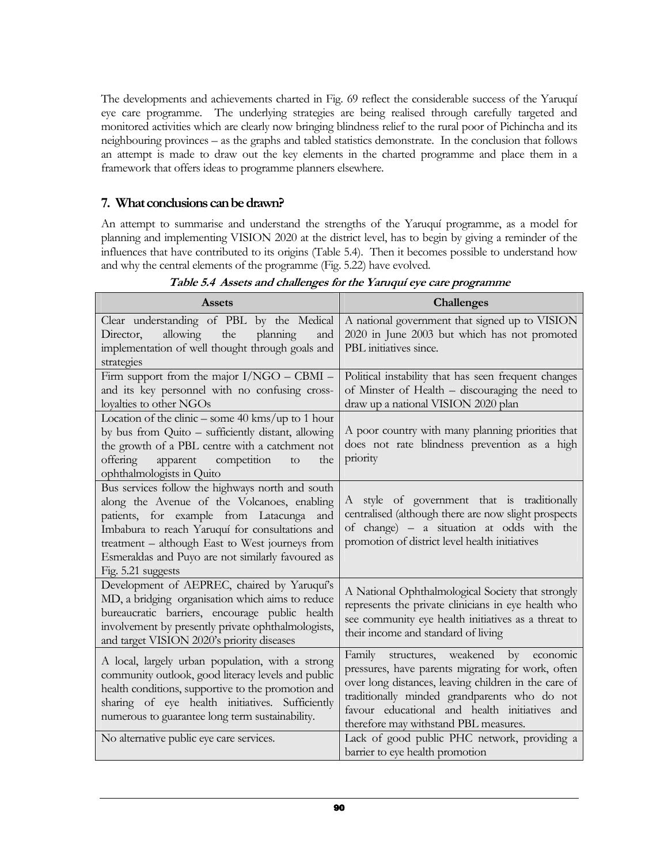The developments and achievements charted in Fig. 69 reflect the considerable success of the Yaruquí eye care programme. The underlying strategies are being realised through carefully targeted and monitored activities which are clearly now bringing blindness relief to the rural poor of Pichincha and its neighbouring provinces – as the graphs and tabled statistics demonstrate. In the conclusion that follows an attempt is made to draw out the key elements in the charted programme and place them in a framework that offers ideas to programme planners elsewhere.

# 7. What conclusions can be drawn?

An attempt to summarise and understand the strengths of the Yaruquí programme, as a model for planning and implementing VISION 2020 at the district level, has to begin by giving a reminder of the influences that have contributed to its origins (Table 5.4). Then it becomes possible to understand how and why the central elements of the programme (Fig. 5.22) have evolved.

| <b>Assets</b>                                                                                 | <b>Challenges</b>                                                               |
|-----------------------------------------------------------------------------------------------|---------------------------------------------------------------------------------|
| Clear understanding of PBL by the Medical                                                     | A national government that signed up to VISION                                  |
| allowing<br>planning<br>Director,<br>the<br>and                                               | 2020 in June 2003 but which has not promoted                                    |
| implementation of well thought through goals and                                              | PBL initiatives since.                                                          |
| strategies                                                                                    |                                                                                 |
| Firm support from the major $I/NGO - CBMI -$                                                  | Political instability that has seen frequent changes                            |
| and its key personnel with no confusing cross-                                                | of Minster of Health - discouraging the need to                                 |
| loyalties to other NGOs                                                                       | draw up a national VISION 2020 plan                                             |
| Location of the clinic – some $40 \text{ km/s/up}$ to 1 hour                                  | A poor country with many planning priorities that                               |
| by bus from Quito - sufficiently distant, allowing                                            | does not rate blindness prevention as a high                                    |
| the growth of a PBL centre with a catchment not<br>offering<br>apparent<br>competition<br>the | priority                                                                        |
| to<br>ophthalmologists in Quito                                                               |                                                                                 |
| Bus services follow the highways north and south                                              |                                                                                 |
| along the Avenue of the Volcanoes, enabling                                                   | A style of government that is traditionally                                     |
| patients, for example from Latacunga and                                                      | centralised (although there are now slight prospects                            |
| Imbabura to reach Yaruquí for consultations and                                               | of change) - a situation at odds with the                                       |
| treatment - although East to West journeys from                                               | promotion of district level health initiatives                                  |
| Esmeraldas and Puyo are not similarly favoured as                                             |                                                                                 |
| Fig. 5.21 suggests                                                                            |                                                                                 |
| Development of AEPREC, chaired by Yaruqui's                                                   | A National Ophthalmological Society that strongly                               |
| MD, a bridging organisation which aims to reduce                                              | represents the private clinicians in eye health who                             |
| bureaucratic barriers, encourage public health                                                | see community eye health initiatives as a threat to                             |
| involvement by presently private ophthalmologists,                                            | their income and standard of living                                             |
| and target VISION 2020's priority diseases                                                    |                                                                                 |
| A local, largely urban population, with a strong                                              | Family structures, weakened by economic                                         |
| community outlook, good literacy levels and public                                            | pressures, have parents migrating for work, often                               |
| health conditions, supportive to the promotion and                                            | over long distances, leaving children in the care of                            |
| sharing of eye health initiatives. Sufficiently                                               | traditionally minded grandparents who do not                                    |
| numerous to guarantee long term sustainability.                                               | favour educational and health initiatives and                                   |
|                                                                                               | therefore may withstand PBL measures.                                           |
| No alternative public eye care services.                                                      | Lack of good public PHC network, providing a<br>barrier to eye health promotion |
|                                                                                               |                                                                                 |

Table 5.4 Assets and challenges for the Yaruquí eye care programme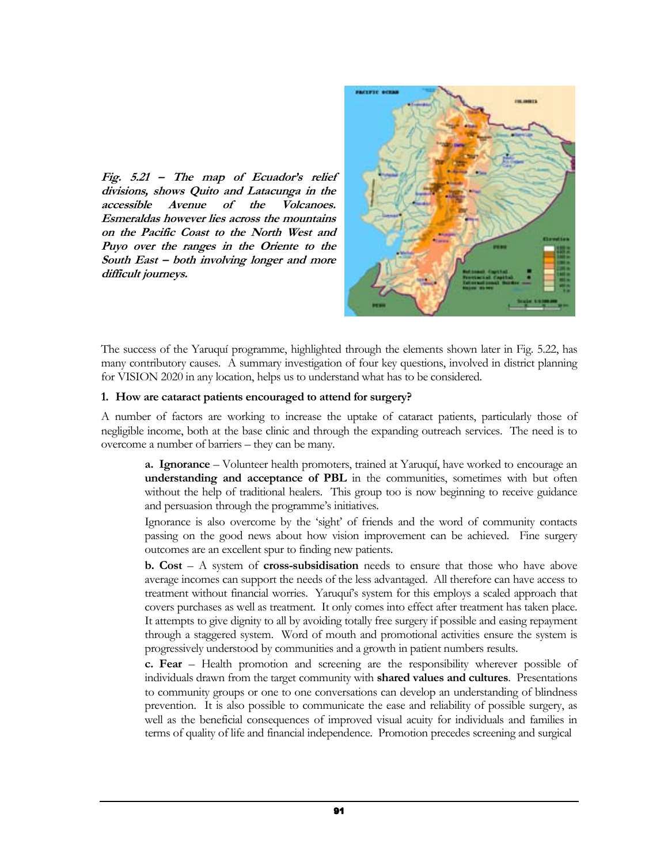Fig. 5.21 – The map of Ecuador's relief divisions, shows Quito and Latacunga in the accessible Avenue of the Volcanoes. Esmeraldas however lies across the mountains on the Pacific Coast to the North West and Puyo over the ranges in the Oriente to the South East – both involving longer and more difficult journeys.



The success of the Yaruquí programme, highlighted through the elements shown later in Fig. 5.22, has many contributory causes. A summary investigation of four key questions, involved in district planning for VISION 2020 in any location, helps us to understand what has to be considered.

#### 1. How are cataract patients encouraged to attend for surgery?

A number of factors are working to increase the uptake of cataract patients, particularly those of negligible income, both at the base clinic and through the expanding outreach services. The need is to overcome a number of barriers – they can be many.

a. Ignorance – Volunteer health promoters, trained at Yaruquí, have worked to encourage an understanding and acceptance of PBL in the communities, sometimes with but often without the help of traditional healers. This group too is now beginning to receive guidance and persuasion through the programme's initiatives.

Ignorance is also overcome by the 'sight' of friends and the word of community contacts passing on the good news about how vision improvement can be achieved. Fine surgery outcomes are an excellent spur to finding new patients.

**b.** Cost  $-$  A system of cross-subsidisation needs to ensure that those who have above average incomes can support the needs of the less advantaged. All therefore can have access to treatment without financial worries. Yaruquí's system for this employs a scaled approach that covers purchases as well as treatment. It only comes into effect after treatment has taken place. It attempts to give dignity to all by avoiding totally free surgery if possible and easing repayment through a staggered system. Word of mouth and promotional activities ensure the system is progressively understood by communities and a growth in patient numbers results.

c. Fear – Health promotion and screening are the responsibility wherever possible of individuals drawn from the target community with shared values and cultures. Presentations to community groups or one to one conversations can develop an understanding of blindness prevention. It is also possible to communicate the ease and reliability of possible surgery, as well as the beneficial consequences of improved visual acuity for individuals and families in terms of quality of life and financial independence. Promotion precedes screening and surgical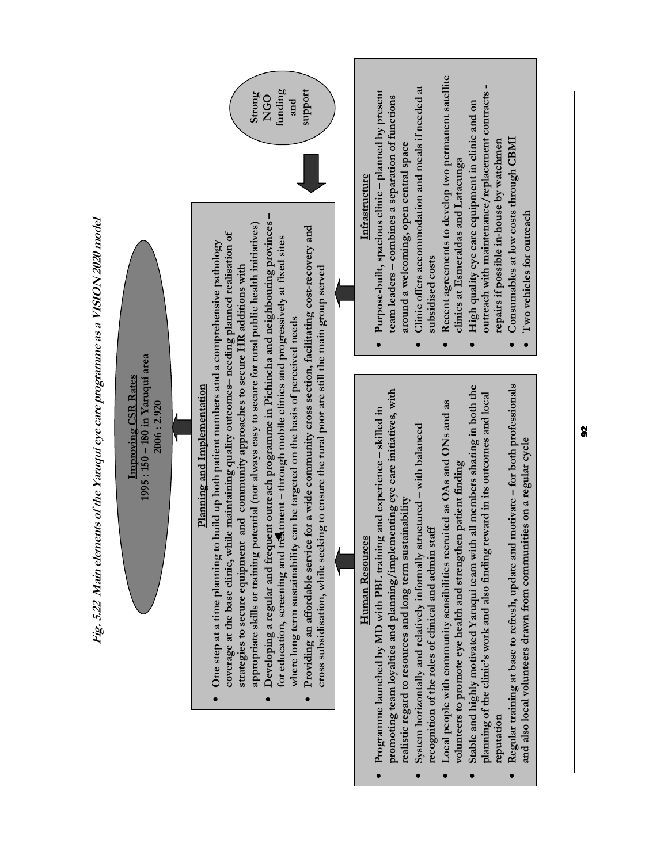

 $\bullet$ 

 $\bullet$ 

 $\bullet$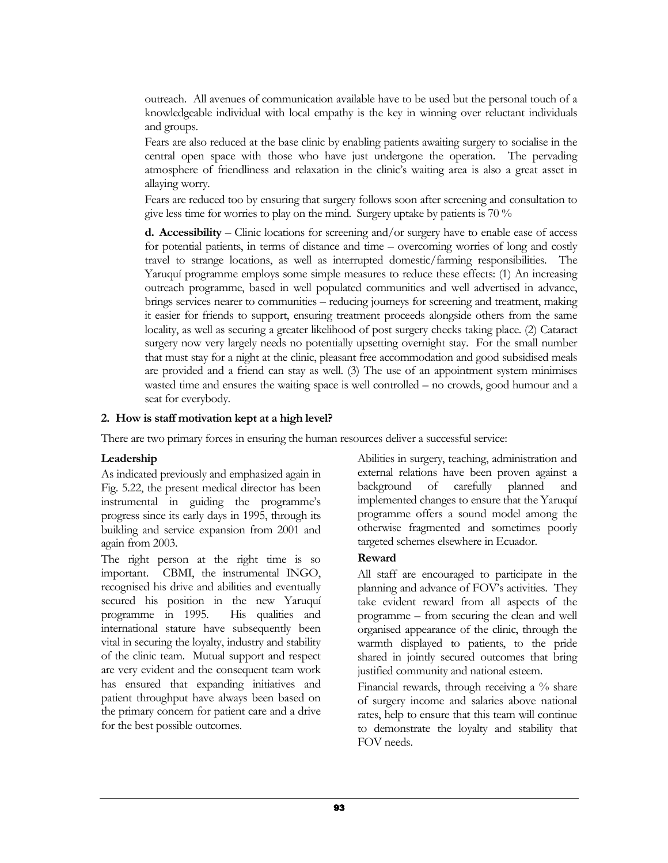outreach. All avenues of communication available have to be used but the personal touch of a knowledgeable individual with local empathy is the key in winning over reluctant individuals and groups.

Fears are also reduced at the base clinic by enabling patients awaiting surgery to socialise in the central open space with those who have just undergone the operation. The pervading atmosphere of friendliness and relaxation in the clinic's waiting area is also a great asset in allaying worry.

Fears are reduced too by ensuring that surgery follows soon after screening and consultation to give less time for worries to play on the mind. Surgery uptake by patients is 70 %

**d.** Accessibility – Clinic locations for screening and/or surgery have to enable ease of access for potential patients, in terms of distance and time – overcoming worries of long and costly travel to strange locations, as well as interrupted domestic/farming responsibilities. The Yaruquí programme employs some simple measures to reduce these effects: (1) An increasing outreach programme, based in well populated communities and well advertised in advance, brings services nearer to communities – reducing journeys for screening and treatment, making it easier for friends to support, ensuring treatment proceeds alongside others from the same locality, as well as securing a greater likelihood of post surgery checks taking place. (2) Cataract surgery now very largely needs no potentially upsetting overnight stay. For the small number that must stay for a night at the clinic, pleasant free accommodation and good subsidised meals are provided and a friend can stay as well. (3) The use of an appointment system minimises wasted time and ensures the waiting space is well controlled – no crowds, good humour and a seat for everybody.

#### 2. How is staff motivation kept at a high level?

There are two primary forces in ensuring the human resources deliver a successful service:

#### Leadership

As indicated previously and emphasized again in Fig. 5.22, the present medical director has been instrumental in guiding the programme's progress since its early days in 1995, through its building and service expansion from 2001 and again from 2003.

The right person at the right time is so important. CBMI, the instrumental INGO, recognised his drive and abilities and eventually secured his position in the new Yaruquí programme in 1995. His qualities and international stature have subsequently been vital in securing the loyalty, industry and stability of the clinic team. Mutual support and respect are very evident and the consequent team work has ensured that expanding initiatives and patient throughput have always been based on the primary concern for patient care and a drive for the best possible outcomes.

Abilities in surgery, teaching, administration and external relations have been proven against a background of carefully planned and implemented changes to ensure that the Yaruquí programme offers a sound model among the otherwise fragmented and sometimes poorly targeted schemes elsewhere in Ecuador.

#### Reward

All staff are encouraged to participate in the planning and advance of FOV's activities. They take evident reward from all aspects of the programme – from securing the clean and well organised appearance of the clinic, through the warmth displayed to patients, to the pride shared in jointly secured outcomes that bring justified community and national esteem.

Financial rewards, through receiving a % share of surgery income and salaries above national rates, help to ensure that this team will continue to demonstrate the loyalty and stability that FOV needs.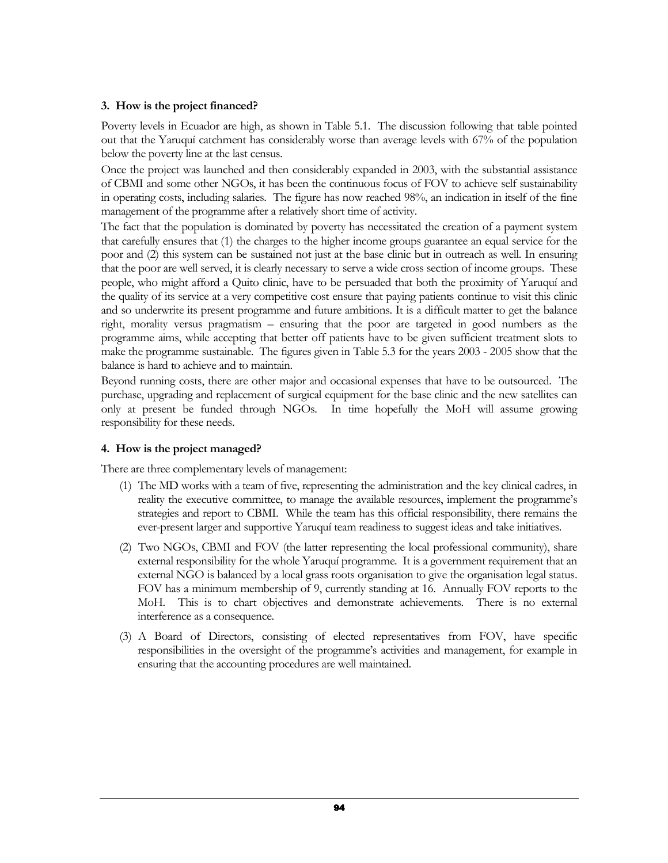### 3. How is the project financed?

Poverty levels in Ecuador are high, as shown in Table 5.1. The discussion following that table pointed out that the Yaruquí catchment has considerably worse than average levels with 67% of the population below the poverty line at the last census.

Once the project was launched and then considerably expanded in 2003, with the substantial assistance of CBMI and some other NGOs, it has been the continuous focus of FOV to achieve self sustainability in operating costs, including salaries. The figure has now reached 98%, an indication in itself of the fine management of the programme after a relatively short time of activity.

The fact that the population is dominated by poverty has necessitated the creation of a payment system that carefully ensures that (1) the charges to the higher income groups guarantee an equal service for the poor and (2) this system can be sustained not just at the base clinic but in outreach as well. In ensuring that the poor are well served, it is clearly necessary to serve a wide cross section of income groups. These people, who might afford a Quito clinic, have to be persuaded that both the proximity of Yaruquí and the quality of its service at a very competitive cost ensure that paying patients continue to visit this clinic and so underwrite its present programme and future ambitions. It is a difficult matter to get the balance right, morality versus pragmatism – ensuring that the poor are targeted in good numbers as the programme aims, while accepting that better off patients have to be given sufficient treatment slots to make the programme sustainable. The figures given in Table 5.3 for the years 2003 - 2005 show that the balance is hard to achieve and to maintain.

Beyond running costs, there are other major and occasional expenses that have to be outsourced. The purchase, upgrading and replacement of surgical equipment for the base clinic and the new satellites can only at present be funded through NGOs. In time hopefully the MoH will assume growing responsibility for these needs.

## 4. How is the project managed?

There are three complementary levels of management:

- (1) The MD works with a team of five, representing the administration and the key clinical cadres, in reality the executive committee, to manage the available resources, implement the programme's strategies and report to CBMI. While the team has this official responsibility, there remains the ever-present larger and supportive Yaruquí team readiness to suggest ideas and take initiatives.
- (2) Two NGOs, CBMI and FOV (the latter representing the local professional community), share external responsibility for the whole Yaruquí programme. It is a government requirement that an external NGO is balanced by a local grass roots organisation to give the organisation legal status. FOV has a minimum membership of 9, currently standing at 16. Annually FOV reports to the MoH. This is to chart objectives and demonstrate achievements. There is no external interference as a consequence.
- (3) A Board of Directors, consisting of elected representatives from FOV, have specific responsibilities in the oversight of the programme's activities and management, for example in ensuring that the accounting procedures are well maintained.